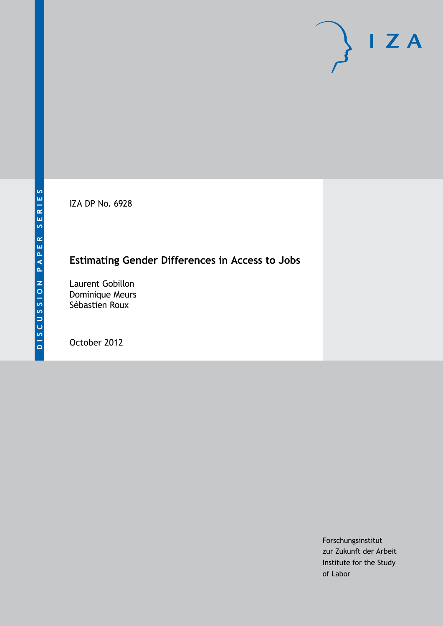IZA DP No. 6928

## **Estimating Gender Differences in Access to Jobs**

Laurent Gobillon Dominique Meurs Sébastien Roux

October 2012

Forschungsinstitut zur Zukunft der Arbeit Institute for the Study of Labor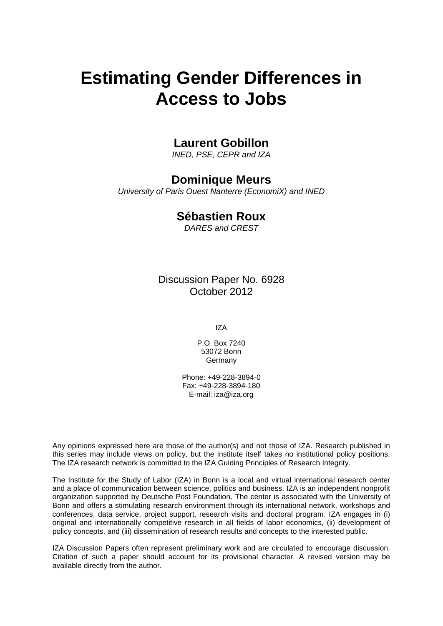# **Estimating Gender Differences in Access to Jobs**

## **Laurent Gobillon**

*INED, PSE, CEPR and IZA*

## **Dominique Meurs**

*University of Paris Ouest Nanterre (EconomiX) and INED*

## **Sébastien Roux**

*DARES and CREST*

Discussion Paper No. 6928 October 2012

IZA

P.O. Box 7240 53072 Bonn Germany

Phone: +49-228-3894-0 Fax: +49-228-3894-180 E-mail: [iza@iza.org](mailto:iza@iza.org)

Any opinions expressed here are those of the author(s) and not those of IZA. Research published in this series may include views on policy, but the institute itself takes no institutional policy positions. The IZA research network is committed to the IZA Guiding Principles of Research Integrity.

The Institute for the Study of Labor (IZA) in Bonn is a local and virtual international research center and a place of communication between science, politics and business. IZA is an independent nonprofit organization supported by Deutsche Post Foundation. The center is associated with the University of Bonn and offers a stimulating research environment through its international network, workshops and conferences, data service, project support, research visits and doctoral program. IZA engages in (i) original and internationally competitive research in all fields of labor economics, (ii) development of policy concepts, and (iii) dissemination of research results and concepts to the interested public.

<span id="page-1-0"></span>IZA Discussion Papers often represent preliminary work and are circulated to encourage discussion. Citation of such a paper should account for its provisional character. A revised version may be available directly from the author.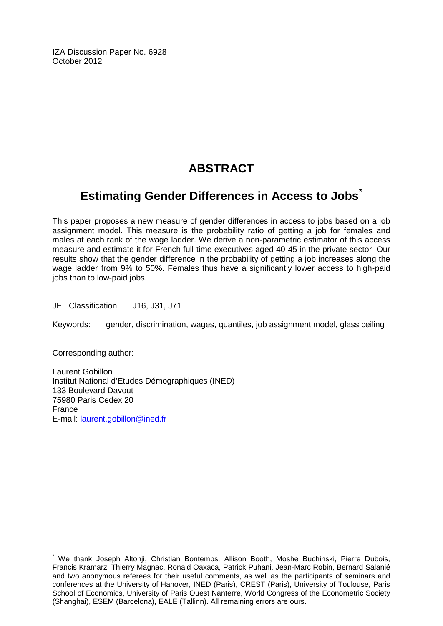IZA Discussion Paper No. 6928 October 2012

## **ABSTRACT**

## **Estimating Gender Differences in Access to Jobs[\\*](#page-1-0)**

This paper proposes a new measure of gender differences in access to jobs based on a job assignment model. This measure is the probability ratio of getting a job for females and males at each rank of the wage ladder. We derive a non-parametric estimator of this access measure and estimate it for French full-time executives aged 40-45 in the private sector. Our results show that the gender difference in the probability of getting a job increases along the wage ladder from 9% to 50%. Females thus have a significantly lower access to high-paid jobs than to low-paid jobs.

JEL Classification: J16, J31, J71

Keywords: gender, discrimination, wages, quantiles, job assignment model, glass ceiling

Corresponding author:

Laurent Gobillon Institut National d'Etudes Démographiques (INED) 133 Boulevard Davout 75980 Paris Cedex 20 France E-mail: [laurent.gobillon@ined.fr](mailto:laurent.gobillon@ined.fr)

\* We thank Joseph Altonji, Christian Bontemps, Allison Booth, Moshe Buchinski, Pierre Dubois, Francis Kramarz, Thierry Magnac, Ronald Oaxaca, Patrick Puhani, Jean-Marc Robin, Bernard Salanié and two anonymous referees for their useful comments, as well as the participants of seminars and conferences at the University of Hanover, INED (Paris), CREST (Paris), University of Toulouse, Paris School of Economics, University of Paris Ouest Nanterre, World Congress of the Econometric Society (Shanghai), ESEM (Barcelona), EALE (Tallinn). All remaining errors are ours.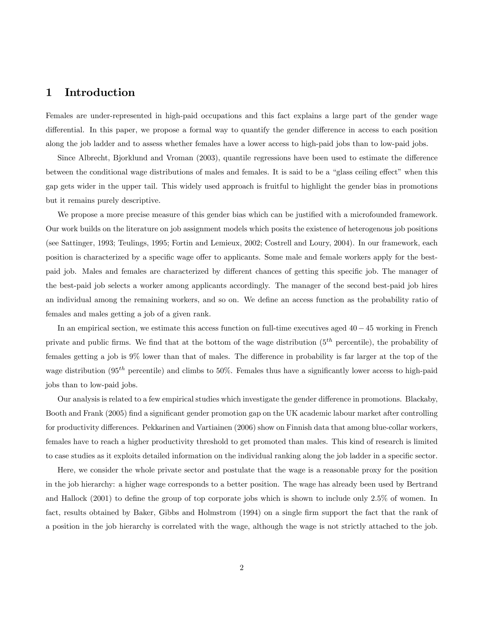## 1 Introduction

Females are under-represented in high-paid occupations and this fact explains a large part of the gender wage differential. In this paper, we propose a formal way to quantify the gender difference in access to each position along the job ladder and to assess whether females have a lower access to high-paid jobs than to low-paid jobs.

Since Albrecht, Bjorklund and Vroman (2003), quantile regressions have been used to estimate the difference between the conditional wage distributions of males and females. It is said to be a "glass ceiling effect" when this gap gets wider in the upper tail. This widely used approach is fruitful to highlight the gender bias in promotions but it remains purely descriptive.

We propose a more precise measure of this gender bias which can be justified with a microfounded framework. Our work builds on the literature on job assignment models which posits the existence of heterogenous job positions (see Sattinger, 1993; Teulings, 1995; Fortin and Lemieux, 2002; Costrell and Loury, 2004). In our framework, each position is characterized by a specific wage offer to applicants. Some male and female workers apply for the bestpaid job. Males and females are characterized by different chances of getting this specific job. The manager of the best-paid job selects a worker among applicants accordingly. The manager of the second best-paid job hires an individual among the remaining workers, and so on. We define an access function as the probability ratio of females and males getting a job of a given rank.

In an empirical section, we estimate this access function on full-time executives aged  $40 - 45$  working in French private and public firms. We find that at the bottom of the wage distribution  $(5<sup>th</sup>$  percentile), the probability of females getting a job is 9% lower than that of males. The difference in probability is far larger at the top of the wage distribution (95<sup>th</sup> percentile) and climbs to 50%. Females thus have a significantly lower access to high-paid jobs than to low-paid jobs.

Our analysis is related to a few empirical studies which investigate the gender difference in promotions. Blackaby, Booth and Frank (2005) find a significant gender promotion gap on the UK academic labour market after controlling for productivity differences. Pekkarinen and Vartiainen (2006) show on Finnish data that among blue-collar workers, females have to reach a higher productivity threshold to get promoted than males. This kind of research is limited to case studies as it exploits detailed information on the individual ranking along the job ladder in a specific sector.

Here, we consider the whole private sector and postulate that the wage is a reasonable proxy for the position in the job hierarchy: a higher wage corresponds to a better position. The wage has already been used by Bertrand and Hallock  $(2001)$  to define the group of top corporate jobs which is shown to include only  $2.5\%$  of women. In fact, results obtained by Baker, Gibbs and Holmstrom (1994) on a single firm support the fact that the rank of a position in the job hierarchy is correlated with the wage, although the wage is not strictly attached to the job.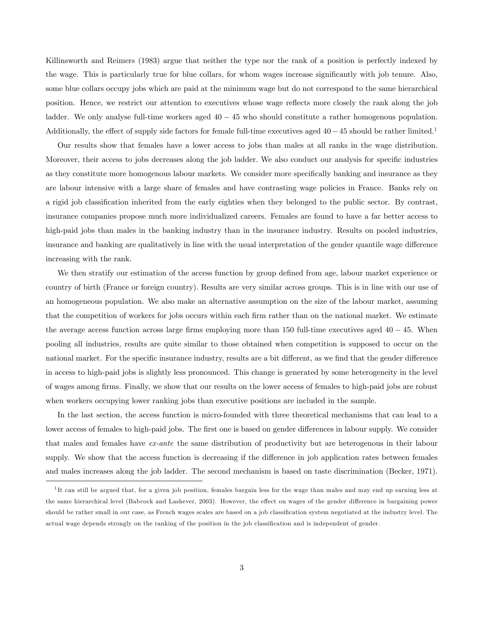Killinsworth and Reimers (1983) argue that neither the type nor the rank of a position is perfectly indexed by the wage. This is particularly true for blue collars, for whom wages increase significantly with job tenure. Also, some blue collars occupy jobs which are paid at the minimum wage but do not correspond to the same hierarchical position. Hence, we restrict our attention to executives whose wage reflects more closely the rank along the job ladder. We only analyse full-time workers aged  $40 - 45$  who should constitute a rather homogenous population. Additionally, the effect of supply side factors for female full-time executives aged  $40-45$  should be rather limited.<sup>1</sup>

Our results show that females have a lower access to jobs than males at all ranks in the wage distribution. Moreover, their access to jobs decreases along the job ladder. We also conduct our analysis for specific industries as they constitute more homogenous labour markets. We consider more specifically banking and insurance as they are labour intensive with a large share of females and have contrasting wage policies in France. Banks rely on a rigid job classification inherited from the early eighties when they belonged to the public sector. By contrast, insurance companies propose much more individualized careers. Females are found to have a far better access to high-paid jobs than males in the banking industry than in the insurance industry. Results on pooled industries, insurance and banking are qualitatively in line with the usual interpretation of the gender quantile wage difference increasing with the rank.

We then stratify our estimation of the access function by group defined from age, labour market experience or country of birth (France or foreign country). Results are very similar across groups. This is in line with our use of an homogeneous population. We also make an alternative assumption on the size of the labour market, assuming that the competition of workers for jobs occurs within each firm rather than on the national market. We estimate the average access function across large firms employing more than 150 full-time executives aged  $40 - 45$ . When pooling all industries, results are quite similar to those obtained when competition is supposed to occur on the national market. For the specific insurance industry, results are a bit different, as we find that the gender difference in access to high-paid jobs is slightly less pronounced. This change is generated by some heterogeneity in the level of wages among Örms. Finally, we show that our results on the lower access of females to high-paid jobs are robust when workers occupying lower ranking jobs than executive positions are included in the sample.

In the last section, the access function is micro-founded with three theoretical mechanisms that can lead to a lower access of females to high-paid jobs. The first one is based on gender differences in labour supply. We consider that males and females have ex-ante the same distribution of productivity but are heterogenous in their labour supply. We show that the access function is decreasing if the difference in job application rates between females and males increases along the job ladder. The second mechanism is based on taste discrimination (Becker, 1971).

<sup>&</sup>lt;sup>1</sup>It can still be argued that, for a given job position, females bargain less for the wage than males and may end up earning less at the same hierarchical level (Babcock and Lashever, 2003). However, the effect on wages of the gender difference in bargaining power should be rather small in our case, as French wages scales are based on a job classification system negotiated at the industry level. The actual wage depends strongly on the ranking of the position in the job classification and is independent of gender.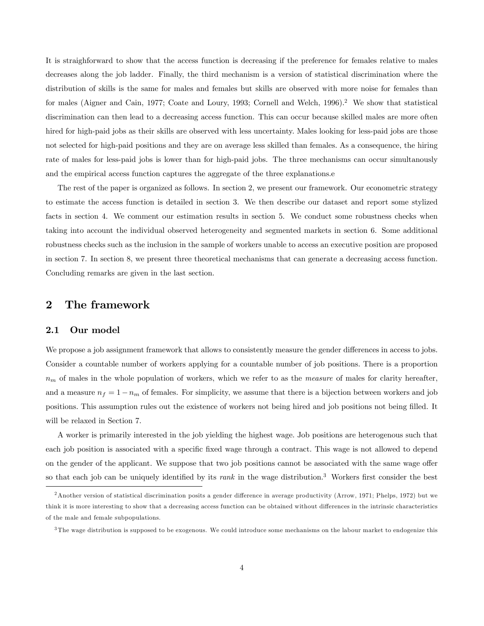It is straighforward to show that the access function is decreasing if the preference for females relative to males decreases along the job ladder. Finally, the third mechanism is a version of statistical discrimination where the distribution of skills is the same for males and females but skills are observed with more noise for females than for males (Aigner and Cain, 1977; Coate and Loury, 1993; Cornell and Welch, 1996).<sup>2</sup> We show that statistical discrimination can then lead to a decreasing access function. This can occur because skilled males are more often hired for high-paid jobs as their skills are observed with less uncertainty. Males looking for less-paid jobs are those not selected for high-paid positions and they are on average less skilled than females. As a consequence, the hiring rate of males for less-paid jobs is lower than for high-paid jobs. The three mechanisms can occur simultanously and the empirical access function captures the aggregate of the three explanations.e

The rest of the paper is organized as follows. In section 2, we present our framework. Our econometric strategy to estimate the access function is detailed in section 3. We then describe our dataset and report some stylized facts in section 4. We comment our estimation results in section 5. We conduct some robustness checks when taking into account the individual observed heterogeneity and segmented markets in section 6. Some additional robustness checks such as the inclusion in the sample of workers unable to access an executive position are proposed in section 7. In section 8, we present three theoretical mechanisms that can generate a decreasing access function. Concluding remarks are given in the last section.

## 2 The framework

### 2.1 Our model

We propose a job assignment framework that allows to consistently measure the gender differences in access to jobs. Consider a countable number of workers applying for a countable number of job positions. There is a proportion  $n<sub>m</sub>$  of males in the whole population of workers, which we refer to as the *measure* of males for clarity hereafter, and a measure  $n_f = 1 - n_m$  of females. For simplicity, we assume that there is a bijection between workers and job positions. This assumption rules out the existence of workers not being hired and job positions not being filled. It will be relaxed in Section 7.

A worker is primarily interested in the job yielding the highest wage. Job positions are heterogenous such that each job position is associated with a specific fixed wage through a contract. This wage is not allowed to depend on the gender of the applicant. We suppose that two job positions cannot be associated with the same wage offer so that each job can be uniquely identified by its *rank* in the wage distribution.<sup>3</sup> Workers first consider the best

<sup>&</sup>lt;sup>2</sup> Another version of statistical discrimination posits a gender difference in average productivity (Arrow, 1971; Phelps, 1972) but we think it is more interesting to show that a decreasing access function can be obtained without differences in the intrinsic characteristics of the male and female subpopulations.

 $3$ The wage distribution is supposed to be exogenous. We could introduce some mechanisms on the labour market to endogenize this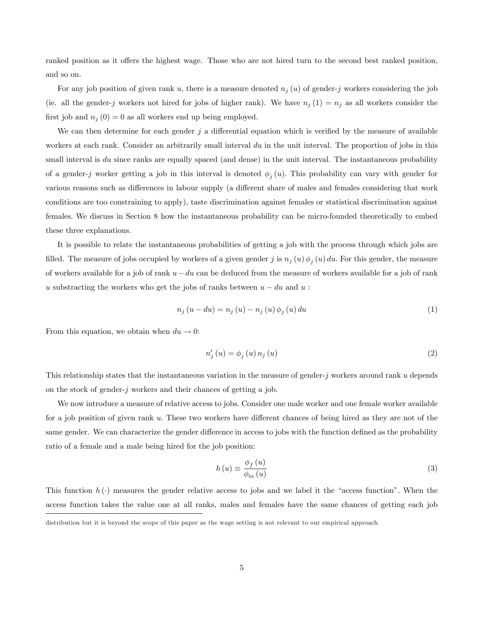ranked position as it offers the highest wage. Those who are not hired turn to the second best ranked position, and so on.

For any job position of given rank u, there is a measure denoted  $n_j(u)$  of gender-j workers considering the job (ie. all the gender-j workers not hired for jobs of higher rank). We have  $n_j(1) = n_j$  as all workers consider the first job and  $n_j (0) = 0$  as all workers end up being employed.

We can then determine for each gender  $j$  a differential equation which is verified by the measure of available workers at each rank. Consider an arbitrarily small interval du in the unit interval. The proportion of jobs in this small interval is du since ranks are equally spaced (and dense) in the unit interval. The instantaneous probability of a gender-j worker getting a job in this interval is denoted  $\phi_j(u)$ . This probability can vary with gender for various reasons such as differences in labour supply (a different share of males and females considering that work conditions are too constraining to apply), taste discrimination against females or statistical discrimination against females. We discuss in Section 8 how the instantaneous probability can be micro-founded theoretically to embed these three explanations.

It is possible to relate the instantaneous probabilities of getting a job with the process through which jobs are filled. The measure of jobs occupied by workers of a given gender j is  $n_j(u)\phi_j(u) du$ . For this gender, the measure of workers available for a job of rank  $u - du$  can be deduced from the measure of workers available for a job of rank u substracting the workers who get the jobs of ranks between  $u - du$  and u:

$$
n_{j}(u - du) = n_{j}(u) - n_{j}(u)\phi_{j}(u) du
$$
\n(1)

From this equation, we obtain when  $du \to 0$ :

$$
n'_{j}(u) = \phi_{j}(u) n_{j}(u)
$$
\n<sup>(2)</sup>

This relationship states that the instantaneous variation in the measure of gender-j workers around rank  $u$  depends on the stock of gender-j workers and their chances of getting a job.

We now introduce a measure of relative access to jobs. Consider one male worker and one female worker available for a job position of given rank u. These two workers have different chances of being hired as they are not of the same gender. We can characterize the gender difference in access to jobs with the function defined as the probability ratio of a female and a male being hired for the job position:

$$
h(u) \equiv \frac{\phi_f(u)}{\phi_m(u)}\tag{3}
$$

This function  $h(\cdot)$  measures the gender relative access to jobs and we label it the "access function". When the access function takes the value one at all ranks, males and females have the same chances of getting each job

distribution but it is beyond the scope of this paper as the wage setting is not relevant to our empirical approach.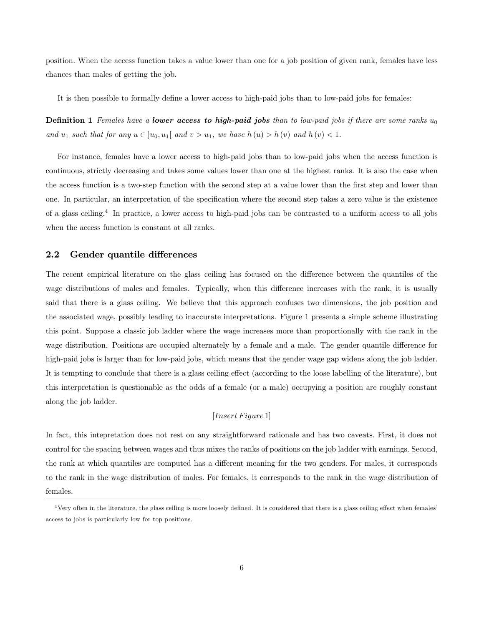position. When the access function takes a value lower than one for a job position of given rank, females have less chances than males of getting the job.

It is then possible to formally define a lower access to high-paid jobs than to low-paid jobs for females:

**Definition 1** Females have a **lower access to high-paid jobs** than to low-paid jobs if there are some ranks  $u_0$ and  $u_1$  such that for any  $u \in [u_0, u_1]$  and  $v > u_1$ , we have  $h(u) > h(v)$  and  $h(v) < 1$ .

For instance, females have a lower access to high-paid jobs than to low-paid jobs when the access function is continuous, strictly decreasing and takes some values lower than one at the highest ranks. It is also the case when the access function is a two-step function with the second step at a value lower than the first step and lower than one. In particular, an interpretation of the specification where the second step takes a zero value is the existence of a glass ceiling.<sup>4</sup> In practice, a lower access to high-paid jobs can be contrasted to a uniform access to all jobs when the access function is constant at all ranks.

#### 2.2 Gender quantile differences

The recent empirical literature on the glass ceiling has focused on the difference between the quantiles of the wage distributions of males and females. Typically, when this difference increases with the rank, it is usually said that there is a glass ceiling. We believe that this approach confuses two dimensions, the job position and the associated wage, possibly leading to inaccurate interpretations. Figure 1 presents a simple scheme illustrating this point. Suppose a classic job ladder where the wage increases more than proportionally with the rank in the wage distribution. Positions are occupied alternately by a female and a male. The gender quantile difference for high-paid jobs is larger than for low-paid jobs, which means that the gender wage gap widens along the job ladder. It is tempting to conclude that there is a glass ceiling effect (according to the loose labelling of the literature), but this interpretation is questionable as the odds of a female (or a male) occupying a position are roughly constant along the job ladder.

#### $[Insert \, Figure \, 1]$

In fact, this intepretation does not rest on any straightforward rationale and has two caveats. First, it does not control for the spacing between wages and thus mixes the ranks of positions on the job ladder with earnings. Second, the rank at which quantiles are computed has a different meaning for the two genders. For males, it corresponds to the rank in the wage distribution of males. For females, it corresponds to the rank in the wage distribution of females.

<sup>&</sup>lt;sup>4</sup> Very often in the literature, the glass ceiling is more loosely defined. It is considered that there is a glass ceiling effect when females' access to jobs is particularly low for top positions.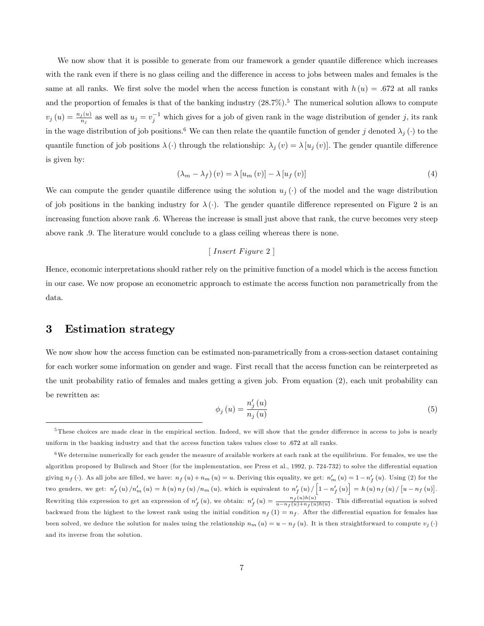We now show that it is possible to generate from our framework a gender quantile difference which increases with the rank even if there is no glass ceiling and the difference in access to jobs between males and females is the same at all ranks. We first solve the model when the access function is constant with  $h(u) = .672$  at all ranks and the proportion of females is that of the banking industry  $(28.7\%)$ .<sup>5</sup> The numerical solution allows to compute  $v_j(u) = \frac{n_j(u)}{n_j}$  as well as  $u_j = v_j^{-1}$  which gives for a job of given rank in the wage distribution of gender j, its rank in the wage distribution of job positions.<sup>6</sup> We can then relate the quantile function of gender j denoted  $\lambda_i(\cdot)$  to the quantile function of job positions  $\lambda(\cdot)$  through the relationship:  $\lambda_j(v) = \lambda[u_j(v)]$ . The gender quantile difference is given by:

$$
\left(\lambda_m - \lambda_f\right)(v) = \lambda \left[u_m\left(v\right)\right] - \lambda \left[u_f\left(v\right)\right] \tag{4}
$$

We can compute the gender quantile difference using the solution  $u_j(\cdot)$  of the model and the wage distribution of job positions in the banking industry for  $\lambda(\cdot)$ . The gender quantile difference represented on Figure 2 is an increasing function above rank :6. Whereas the increase is small just above that rank, the curve becomes very steep above rank :9. The literature would conclude to a glass ceiling whereas there is none.

#### $\lceil$  Insert Figure 2  $\rceil$

Hence, economic interpretations should rather rely on the primitive function of a model which is the access function in our case. We now propose an econometric approach to estimate the access function non parametrically from the data.

## 3 Estimation strategy

We now show how the access function can be estimated non-parametrically from a cross-section dataset containing for each worker some information on gender and wage. First recall that the access function can be reinterpreted as the unit probability ratio of females and males getting a given job. From equation (2), each unit probability can be rewritten as:

$$
\phi_j\left(u\right) = \frac{n_j'\left(u\right)}{n_j\left(u\right)}\tag{5}
$$

 $5$ These choices are made clear in the empirical section. Indeed, we will show that the gender difference in access to jobs is nearly uniform in the banking industry and that the access function takes values close to :672 at all ranks.

 $6$ We determine numerically for each gender the measure of available workers at each rank at the equilibrium. For females, we use the algorithm proposed by Bulirsch and Stoer (for the implementation, see Press et al., 1992, p. 724-732) to solve the differential equation giving  $n_f(\cdot)$ . As all jobs are filled, we have:  $n_f(u) + n_m(u) = u$ . Deriving this equality, we get:  $n'_m(u) = 1 - n'_f(u)$ . Using (2) for the two genders, we get:  $n'_{f}(u)/n'_{m}(u) = h(u) n_{f}(u)/n_{m}(u)$ , which is equivalent to  $n'_{f}(u)/\left[1-n'_{f}(u)\right] = h(u) n_{f}(u)/\left[u-n_{f}(u)\right]$ . Rewriting this expression to get an expression of  $n'_{f}(u)$ , we obtain:  $n'_{f}(u) = \frac{n_{f}(u)h(u)}{u-n_{f}(u)+n_{f}(u)h(u)}$ . This differential equation is solved backward from the highest to the lowest rank using the initial condition  $n_f(1) = n_f$ . After the differential equation for females has been solved, we deduce the solution for males using the relationship  $n_m(u) = u - n_f(u)$ . It is then straightforward to compute  $v_i(\cdot)$ and its inverse from the solution.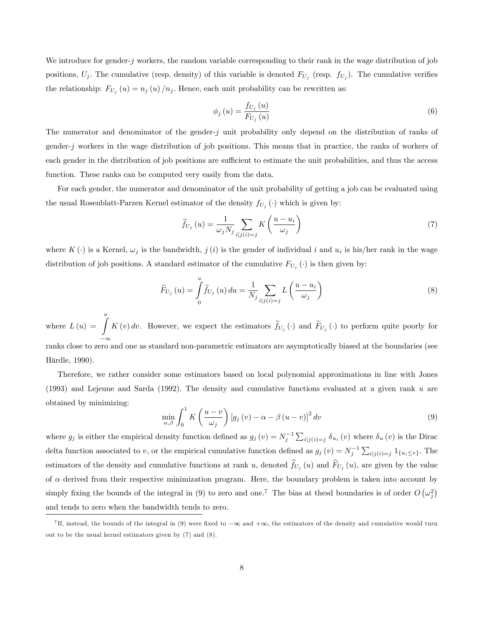We introduce for gender-j workers, the random variable corresponding to their rank in the wage distribution of job positions,  $U_j$ . The cumulative (resp. density) of this variable is denoted  $F_{U_j}$  (resp.  $f_{U_j}$ ). The cumulative verifies the relationship:  $F_{U_j}(u) = n_j(u)/n_j$ . Hence, each unit probability can be rewritten as:

$$
\phi_j\left(u\right) = \frac{f_{U_j}\left(u\right)}{F_{U_j}\left(u\right)}\tag{6}
$$

The numerator and denominator of the gender-j unit probability only depend on the distribution of ranks of gender-j workers in the wage distribution of job positions. This means that in practice, the ranks of workers of each gender in the distribution of job positions are sufficient to estimate the unit probabilities, and thus the access function. These ranks can be computed very easily from the data.

For each gender, the numerator and denominator of the unit probability of getting a job can be evaluated using the usual Rosenblatt-Parzen Kernel estimator of the density  $f_{U_j}(\cdot)$  which is given by:

$$
\widetilde{f}_{U_j}\left(u\right) = \frac{1}{\omega_j N_j} \sum_{i|j(i)=j} K\left(\frac{u - u_i}{\omega_j}\right) \tag{7}
$$

where  $K(\cdot)$  is a Kernel,  $\omega_j$  is the bandwidth,  $j(i)$  is the gender of individual i and  $u_i$  is his/her rank in the wage distribution of job positions. A standard estimator of the cumulative  $F_{U_j}(\cdot)$  is then given by:

$$
\widetilde{F}_{U_j}\left(u\right) = \int\limits_0^u \widetilde{f}_{U_j}\left(u\right) du = \frac{1}{N_j} \sum\limits_{i \mid j \left(i\right) = j} L\left(\frac{u - u_i}{\omega_j}\right) \tag{8}
$$

where  $L(u) = \int_{-\infty}^{u} K(v) dv$ . However, we expect the estimators  $\tilde{f}_{U_j}(v)$  and  $\tilde{F}_{U_j}(v)$  to perform quite poorly for ranks close to zero and one as standard non-parametric estimators are asymptotically biased at the boundaries (see Härdle, 1990).

Therefore, we rather consider some estimators based on local polynomial approximations in line with Jones (1993) and Lejeune and Sarda (1992). The density and cumulative functions evaluated at a given rank  $u$  are obtained by minimizing:

$$
\min_{\alpha,\beta} \int_0^1 K\left(\frac{u-v}{\omega_j}\right) \left[g_j\left(v\right) - \alpha - \beta\left(u-v\right)\right]^2 dv \tag{9}
$$

where  $g_j$  is either the empirical density function defined as  $g_j(v) = N_j^{-1} \sum_{i|j(i)=j} \delta_{u_i}(v)$  where  $\delta_u(v)$  is the Dirac delta function associated to v, or the empirical cumulative function defined as  $g_j(v) = N_j^{-1} \sum_{i|j(i)=j} 1_{\{u_i \le v\}}$ . The estimators of the density and cumulative functions at rank u, denoted  $f_{U_j}(u)$  and  $F_{U_j}(u)$ , are given by the value of  $\alpha$  derived from their respective minimization program. Here, the boundary problem is taken into account by simply fixing the bounds of the integral in (9) to zero and one.<sup>7</sup> The bias at thesd boundaries is of order  $O(\omega_j^2)$ and tends to zero when the bandwidth tends to zero.

<sup>&</sup>lt;sup>7</sup>If, instead, the bounds of the integral in (9) were fixed to  $-\infty$  and  $+\infty$ , the estimators of the density and cumulative would turn out to be the usual kernel estimators given by (7) and (8).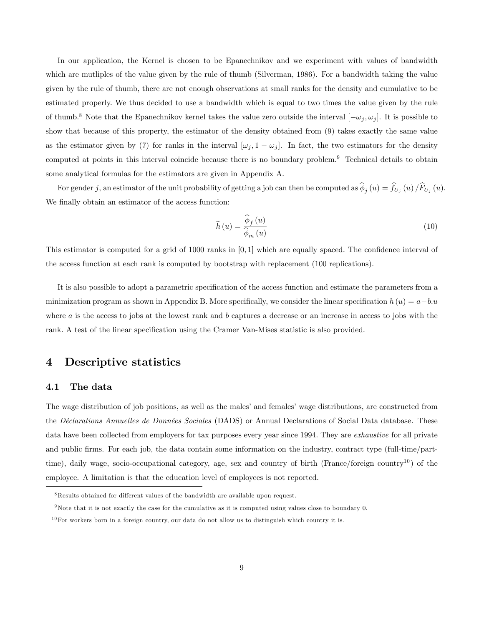In our application, the Kernel is chosen to be Epanechnikov and we experiment with values of bandwidth which are mutliples of the value given by the rule of thumb (Silverman, 1986). For a bandwidth taking the value given by the rule of thumb, there are not enough observations at small ranks for the density and cumulative to be estimated properly. We thus decided to use a bandwidth which is equal to two times the value given by the rule of thumb.<sup>8</sup> Note that the Epanechnikov kernel takes the value zero outside the interval  $[-\omega_j, \omega_j]$ . It is possible to show that because of this property, the estimator of the density obtained from (9) takes exactly the same value as the estimator given by (7) for ranks in the interval  $[\omega_j, 1 - \omega_j]$ . In fact, the two estimators for the density computed at points in this interval coincide because there is no boundary problem.<sup>9</sup> Technical details to obtain some analytical formulas for the estimators are given in Appendix A.

For gender j, an estimator of the unit probability of getting a job can then be computed as  $\phi_j(u) = f_{U_j}(u) / F_{U_j}(u)$ . We finally obtain an estimator of the access function:

$$
\widehat{h}\left(u\right) = \frac{\widehat{\phi}_{f}\left(u\right)}{\widehat{\phi}_{m}\left(u\right)}\tag{10}
$$

This estimator is computed for a grid of 1000 ranks in  $[0, 1]$  which are equally spaced. The confidence interval of the access function at each rank is computed by bootstrap with replacement (100 replications).

It is also possible to adopt a parametric specification of the access function and estimate the parameters from a minimization program as shown in Appendix B. More specifically, we consider the linear specification  $h(u) = a - bu$ where  $a$  is the access to jobs at the lowest rank and  $b$  captures a decrease or an increase in access to jobs with the rank. A test of the linear specification using the Cramer Van-Mises statistic is also provided.

## 4 Descriptive statistics

#### 4.1 The data

The wage distribution of job positions, as well as the males' and females' wage distributions, are constructed from the Déclarations Annuelles de Données Sociales (DADS) or Annual Declarations of Social Data database. These data have been collected from employers for tax purposes every year since 1994. They are *exhaustive* for all private and public firms. For each job, the data contain some information on the industry, contract type (full-time/parttime), daily wage, socio-occupational category, age, sex and country of birth (France/foreign country<sup>10</sup>) of the employee. A limitation is that the education level of employees is not reported.

 $8$ Results obtained for different values of the bandwidth are available upon request.

<sup>9</sup>Note that it is not exactly the case for the cumulative as it is computed using values close to boundary 0.

 $10$  For workers born in a foreign country, our data do not allow us to distinguish which country it is.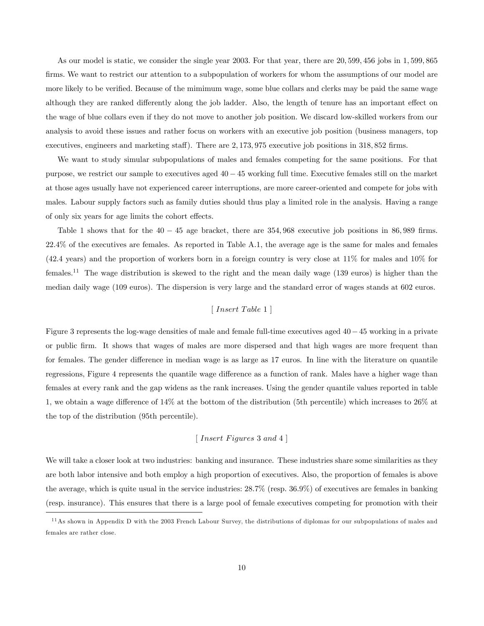As our model is static, we consider the single year 2003. For that year, there are 20, 599, 456 jobs in 1, 599, 865 firms. We want to restrict our attention to a subpopulation of workers for whom the assumptions of our model are more likely to be verified. Because of the mimimum wage, some blue collars and clerks may be paid the same wage although they are ranked differently along the job ladder. Also, the length of tenure has an important effect on the wage of blue collars even if they do not move to another job position. We discard low-skilled workers from our analysis to avoid these issues and rather focus on workers with an executive job position (business managers, top executives, engineers and marketing staff). There are 2, 173, 975 executive job positions in 318, 852 firms.

We want to study simular subpopulations of males and females competing for the same positions. For that purpose, we restrict our sample to executives aged  $40 - 45$  working full time. Executive females still on the market at those ages usually have not experienced career interruptions, are more career-oriented and compete for jobs with males. Labour supply factors such as family duties should thus play a limited role in the analysis. Having a range of only six years for age limits the cohort effects.

Table 1 shows that for the  $40 - 45$  age bracket, there are  $354,968$  executive job positions in  $86,989$  firms. 22:4% of the executives are females. As reported in Table A.1, the average age is the same for males and females  $(42.4 \text{ years})$  and the proportion of workers born in a foreign country is very close at 11% for males and 10% for females.<sup>11</sup> The wage distribution is skewed to the right and the mean daily wage (139 euros) is higher than the median daily wage (109 euros). The dispersion is very large and the standard error of wages stands at 602 euros.

### $[Insert\ Table\ 1]$

Figure 3 represents the log-wage densities of male and female full-time executives aged  $40-45$  working in a private or public Örm. It shows that wages of males are more dispersed and that high wages are more frequent than for females. The gender difference in median wage is as large as 17 euros. In line with the literature on quantile regressions, Figure 4 represents the quantile wage difference as a function of rank. Males have a higher wage than females at every rank and the gap widens as the rank increases. Using the gender quantile values reported in table 1, we obtain a wage difference of  $14\%$  at the bottom of the distribution (5th percentile) which increases to  $26\%$  at the top of the distribution (95th percentile).

#### $\lceil$  Insert Figures 3 and 4  $\rceil$

We will take a closer look at two industries: banking and insurance. These industries share some similarities as they are both labor intensive and both employ a high proportion of executives. Also, the proportion of females is above the average, which is quite usual in the service industries: 28:7% (resp. 36:9%) of executives are females in banking (resp. insurance). This ensures that there is a large pool of female executives competing for promotion with their

<sup>&</sup>lt;sup>11</sup>As shown in Appendix D with the 2003 French Labour Survey, the distributions of diplomas for our subpopulations of males and females are rather close.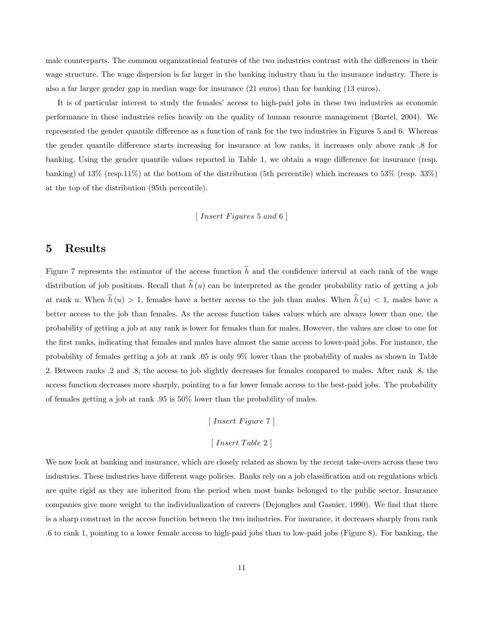male counterparts. The common organizational features of the two industries contrast with the differences in their wage structure. The wage dispersion is far larger in the banking industry than in the insurance industry. There is also a far larger gender gap in median wage for insurance (21 euros) than for banking (13 euros).

It is of particular interest to study the females' access to high-paid jobs in these two industries as economic performance in these industries relies heavily on the quality of human resource management (Bartel, 2004). We represented the gender quantile difference as a function of rank for the two industries in Figures 5 and 6. Whereas the gender quantile difference starts increasing for insurance at low ranks, it increases only above rank  $\,$ .8 for banking. Using the gender quantile values reported in Table 1, we obtain a wage difference for insurance (resp. banking) of 13% (resp.11%) at the bottom of the distribution (5th percentile) which increases to 53% (resp. 33%) at the top of the distribution (95th percentile).

 $[Insert \; Figures \; 5 \; and \; 6]$ 

## 5 Results

Figure 7 represents the estimator of the access function  $\hat{h}$  and the confidence interval at each rank of the wage distribution of job positions. Recall that  $\hat{h}(u)$  can be interpreted as the gender probability ratio of getting a job at rank u. When  $\hat{h}(u) > 1$ , females have a better access to the job than males. When  $\hat{h}(u) < 1$ , males have a better access to the job than females. As the access function takes values which are always lower than one, the probability of getting a job at any rank is lower for females than for males. However, the values are close to one for the Örst ranks, indicating that females and males have almost the same access to lower-paid jobs. For instance, the probability of females getting a job at rank :05 is only 9% lower than the probability of males as shown in Table 2. Between ranks :2 and :8, the access to job slightly decreases for females compared to males. After rank :8, the access function decreases more sharply, pointing to a far lower female access to the best-paid jobs. The probability of females getting a job at rank :95 is 50% lower than the probability of males.

 $[Insert \ Figure 7]$ 

### $[Insert\ Table\ 2]$

We now look at banking and insurance, which are closely related as shown by the recent take-overs across these two industries. These industries have different wage policies. Banks rely on a job classification and on regulations which are quite rigid as they are inherited from the period when most banks belonged to the public sector. Insurance companies give more weight to the individualization of careers (Dejonghes and Gasnier, 1990). We find that there is a sharp constrast in the access function between the two industries. For insurance, it decreases sharply from rank :6 to rank 1, pointing to a lower female access to high-paid jobs than to low-paid jobs (Figure 8). For banking, the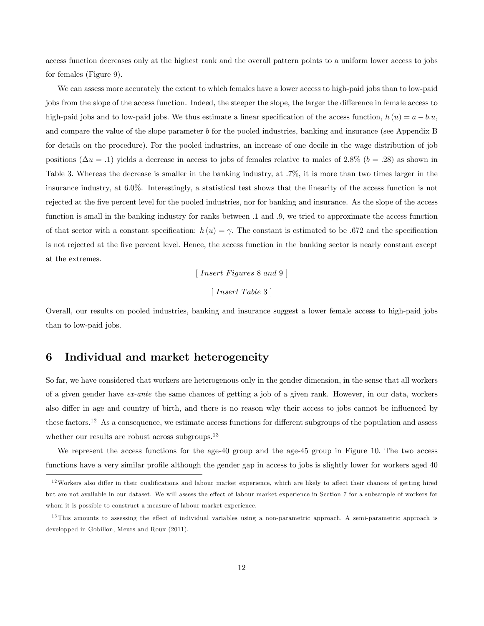access function decreases only at the highest rank and the overall pattern points to a uniform lower access to jobs for females (Figure 9).

We can assess more accurately the extent to which females have a lower access to high-paid jobs than to low-paid jobs from the slope of the access function. Indeed, the steeper the slope, the larger the difference in female access to high-paid jobs and to low-paid jobs. We thus estimate a linear specification of the access function,  $h(u) = a - b.u$ , and compare the value of the slope parameter b for the pooled industries, banking and insurance (see Appendix B for details on the procedure). For the pooled industries, an increase of one decile in the wage distribution of job positions ( $\Delta u = .1$ ) yields a decrease in access to jobs of females relative to males of 2.8% ( $b = .28$ ) as shown in Table 3. Whereas the decrease is smaller in the banking industry, at :7%, it is more than two times larger in the insurance industry, at 6:0%. Interestingly, a statistical test shows that the linearity of the access function is not rejected at the Öve percent level for the pooled industries, nor for banking and insurance. As the slope of the access function is small in the banking industry for ranks between :1 and :9, we tried to approximate the access function of that sector with a constant specification:  $h(u) = \gamma$ . The constant is estimated to be .672 and the specification is not rejected at the Öve percent level. Hence, the access function in the banking sector is nearly constant except at the extremes.

 $\lceil$  Insert Figures 8 and 9  $\rceil$ 

 $[Insert\ Table\ 3]$ 

Overall, our results on pooled industries, banking and insurance suggest a lower female access to high-paid jobs than to low-paid jobs.

## 6 Individual and market heterogeneity

So far, we have considered that workers are heterogenous only in the gender dimension, in the sense that all workers of a given gender have ex-ante the same chances of getting a job of a given rank. However, in our data, workers also differ in age and country of birth, and there is no reason why their access to jobs cannot be influenced by these factors.<sup>12</sup> As a consequence, we estimate access functions for different subgroups of the population and assess whether our results are robust across subgroups.<sup>13</sup>

We represent the access functions for the age-40 group and the age-45 group in Figure 10. The two access functions have a very similar profile although the gender gap in access to jobs is slightly lower for workers aged 40

 $12$ Workers also differ in their qualifications and labour market experience, which are likely to affect their chances of getting hired but are not available in our dataset. We will assess the effect of labour market experience in Section 7 for a subsample of workers for whom it is possible to construct a measure of labour market experience.

 $13$  This amounts to assessing the effect of individual variables using a non-parametric approach. A semi-parametric approach is developped in Gobillon, Meurs and Roux (2011).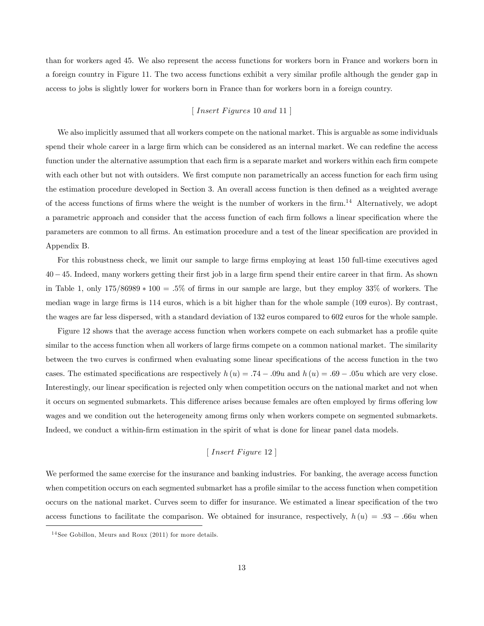than for workers aged 45. We also represent the access functions for workers born in France and workers born in a foreign country in Figure 11. The two access functions exhibit a very similar profile although the gender gap in access to jobs is slightly lower for workers born in France than for workers born in a foreign country.

#### $\lceil$  Insert Figures 10 and 11  $\rceil$

We also implicitly assumed that all workers compete on the national market. This is arguable as some individuals spend their whole career in a large firm which can be considered as an internal market. We can redefine the access function under the alternative assumption that each firm is a separate market and workers within each firm compete with each other but not with outsiders. We first compute non parametrically an access function for each firm using the estimation procedure developed in Section 3. An overall access function is then defined as a weighted average of the access functions of firms where the weight is the number of workers in the  $\lim_{n \to \infty} 14$  Alternatively, we adopt a parametric approach and consider that the access function of each firm follows a linear specification where the parameters are common to all firms. An estimation procedure and a test of the linear specification are provided in Appendix B.

For this robustness check, we limit our sample to large firms employing at least 150 full-time executives aged  $40-45$ . Indeed, many workers getting their first job in a large firm spend their entire career in that firm. As shown in Table 1, only  $175/86989 * 100 = .5\%$  of firms in our sample are large, but they employ 33% of workers. The median wage in large firms is 114 euros, which is a bit higher than for the whole sample (109 euros). By contrast, the wages are far less dispersed, with a standard deviation of 132 euros compared to 602 euros for the whole sample.

Figure 12 shows that the average access function when workers compete on each submarket has a profile quite similar to the access function when all workers of large firms compete on a common national market. The similarity between the two curves is confirmed when evaluating some linear specifications of the access function in the two cases. The estimated specifications are respectively  $h (u) = .74 - .09u$  and  $h (u) = .69 - .05u$  which are very close. Interestingly, our linear specification is rejected only when competition occurs on the national market and not when it occurs on segmented submarkets. This difference arises because females are often employed by firms offering low wages and we condition out the heterogeneity among firms only when workers compete on segmented submarkets. Indeed, we conduct a within-firm estimation in the spirit of what is done for linear panel data models.

## $\lceil$  Insert Figure 12  $\rceil$

We performed the same exercise for the insurance and banking industries. For banking, the average access function when competition occurs on each segmented submarket has a profile similar to the access function when competition occurs on the national market. Curves seem to differ for insurance. We estimated a linear specification of the two access functions to facilitate the comparison. We obtained for insurance, respectively,  $h(u) = .93 - .66u$  when

<sup>14</sup> See Gobillon, Meurs and Roux (2011) for more details.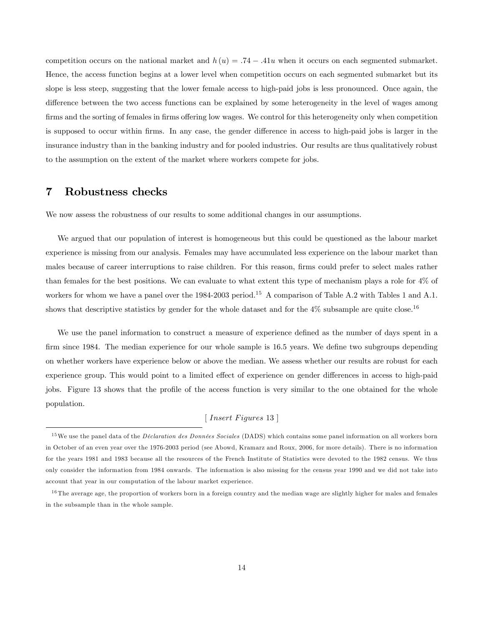competition occurs on the national market and  $h(u) = .74 - .41u$  when it occurs on each segmented submarket. Hence, the access function begins at a lower level when competition occurs on each segmented submarket but its slope is less steep, suggesting that the lower female access to high-paid jobs is less pronounced. Once again, the difference between the two access functions can be explained by some heterogeneity in the level of wages among firms and the sorting of females in firms offering low wages. We control for this heterogeneity only when competition is supposed to occur within firms. In any case, the gender difference in access to high-paid jobs is larger in the insurance industry than in the banking industry and for pooled industries. Our results are thus qualitatively robust to the assumption on the extent of the market where workers compete for jobs.

## 7 Robustness checks

We now assess the robustness of our results to some additional changes in our assumptions.

We argued that our population of interest is homogeneous but this could be questioned as the labour market experience is missing from our analysis. Females may have accumulated less experience on the labour market than males because of career interruptions to raise children. For this reason, firms could prefer to select males rather than females for the best positions. We can evaluate to what extent this type of mechanism plays a role for 4% of workers for whom we have a panel over the 1984-2003 period.<sup>15</sup> A comparison of Table A.2 with Tables 1 and A.1. shows that descriptive statistics by gender for the whole dataset and for the  $4\%$  subsample are quite close.<sup>16</sup>

We use the panel information to construct a measure of experience defined as the number of days spent in a firm since 1984. The median experience for our whole sample is 16.5 years. We define two subgroups depending on whether workers have experience below or above the median. We assess whether our results are robust for each experience group. This would point to a limited effect of experience on gender differences in access to high-paid jobs. Figure 13 shows that the profile of the access function is very similar to the one obtained for the whole population.

## $[\;Insert\;Figures\;13\;]\;$

<sup>&</sup>lt;sup>15</sup>We use the panel data of the *Déclaration des Données Sociales* (DADS) which contains some panel information on all workers born in October of an even year over the 1976-2003 period (see Abowd, Kramarz and Roux, 2006, for more details). There is no information for the years 1981 and 1983 because all the resources of the French Institute of Statistics were devoted to the 1982 census. We thus only consider the information from 1984 onwards. The information is also missing for the census year 1990 and we did not take into account that year in our computation of the labour market experience.

<sup>&</sup>lt;sup>16</sup> The average age, the proportion of workers born in a foreign country and the median wage are slightly higher for males and females in the subsample than in the whole sample.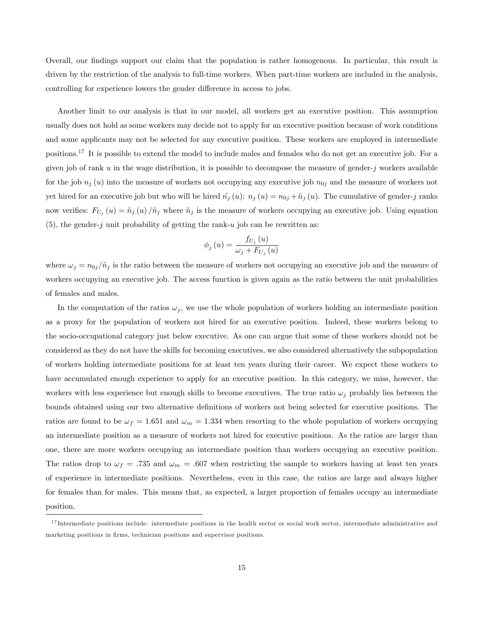Overall, our Öndings support our claim that the population is rather homogenous. In particular, this result is driven by the restriction of the analysis to full-time workers. When part-time workers are included in the analysis, controlling for experience lowers the gender difference in access to jobs.

Another limit to our analysis is that in our model, all workers get an executive position. This assumption usually does not hold as some workers may decide not to apply for an executive position because of work conditions and some applicants may not be selected for any executive position. These workers are employed in intermediate positions.<sup>17</sup> It is possible to extend the model to include males and females who do not get an executive job. For a given job of rank u in the wage distribution, it is possible to decompose the measure of gender-j workers available for the job  $n_j(u)$  into the measure of workers not occupying any executive job  $n_{0j}$  and the measure of workers not yet hired for an executive job but who will be hired  $\tilde{n}_j (u)$ :  $n_j (u) = n_{0j} + \tilde{n}_j (u)$ . The cumulative of gender-j ranks now verifies:  $F_{U_j}(u) = \tilde{n}_j(u)/\tilde{n}_j$  where  $\tilde{n}_j$  is the measure of workers occupying an executive job. Using equation (5), the gender-j unit probability of getting the rank-u job can be rewritten as:

$$
\phi_{j}\left(u\right) = \frac{f_{U_{j}}\left(u\right)}{\omega_{j} + F_{U_{j}}\left(u\right)}
$$

where  $\omega_j = n_{0j}/\tilde{n}_j$  is the ratio between the measure of workers not occupying an executive job and the measure of workers occupying an executive job. The access function is given again as the ratio between the unit probabilities of females and males.

In the computation of the ratios  $\omega_i$ , we use the whole population of workers holding an intermediate position as a proxy for the population of workers not hired for an executive position. Indeed, these workers belong to the socio-occupational category just below executive. As one can argue that some of these workers should not be considered as they do not have the skills for becoming executives, we also considered alternatively the subpopulation of workers holding intermediate positions for at least ten years during their career. We expect these workers to have accumulated enough experience to apply for an executive position. In this category, we miss, however, the workers with less experience but enough skills to become executives. The true ratio  $\omega_i$  probably lies between the bounds obtained using our two alternative definitions of workers not being selected for executive positions. The ratios are found to be  $\omega_f = 1.651$  and  $\omega_m = 1.334$  when resorting to the whole population of workers occupying an intermediate position as a measure of workers not hired for executive positions. As the ratios are larger than one, there are more workers occupying an intermediate position than workers occupying an executive position. The ratios drop to  $\omega_f = .735$  and  $\omega_m = .607$  when restricting the sample to workers having at least ten years of experience in intermediate positions. Nevertheless, even in this case, the ratios are large and always higher for females than for males. This means that, as expected, a larger proportion of females occupy an intermediate position.

<sup>&</sup>lt;sup>17</sup> Intermediate positions include: intermediate positions in the health sector or social work sector, intermediate administrative and marketing positions in firms, technician positions and supervisor positions.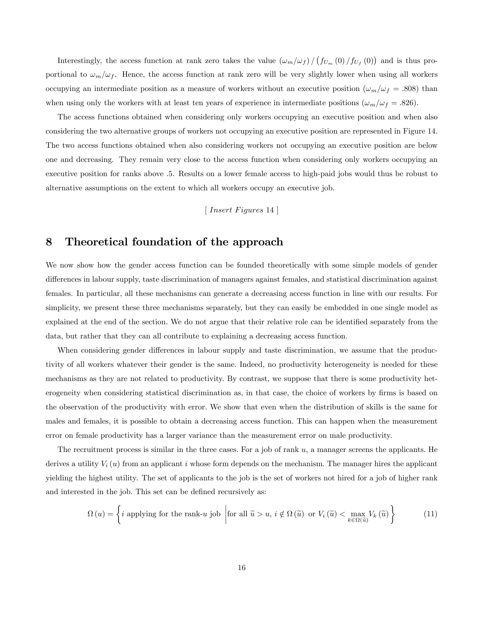Interestingly, the access function at rank zero takes the value  $(\omega_m/\omega_f) / (f_{U_m}(0) / f_{U_f}(0))$  and is thus proportional to  $\omega_m/\omega_f$ . Hence, the access function at rank zero will be very slightly lower when using all workers occupying an intermediate position as a measure of workers without an executive position  $(\omega_m/\omega_f = .808)$  than when using only the workers with at least ten years of experience in intermediate positions  $(\omega_m/\omega_f = .826)$ .

The access functions obtained when considering only workers occupying an executive position and when also considering the two alternative groups of workers not occupying an executive position are represented in Figure 14. The two access functions obtained when also considering workers not occupying an executive position are below one and decreasing. They remain very close to the access function when considering only workers occupying an executive position for ranks above :5. Results on a lower female access to high-paid jobs would thus be robust to alternative assumptions on the extent to which all workers occupy an executive job.

 $\lceil$  Insert Figures 14  $\rceil$ 

## 8 Theoretical foundation of the approach

We now show how the gender access function can be founded theoretically with some simple models of gender differences in labour supply, taste discrimination of managers against females, and statistical discrimination against females. In particular, all these mechanisms can generate a decreasing access function in line with our results. For simplicity, we present these three mechanisms separately, but they can easily be embedded in one single model as explained at the end of the section. We do not argue that their relative role can be identified separately from the data, but rather that they can all contribute to explaining a decreasing access function.

When considering gender differences in labour supply and taste discrimination, we assume that the productivity of all workers whatever their gender is the same. Indeed, no productivity heterogeneity is needed for these mechanisms as they are not related to productivity. By contrast, we suppose that there is some productivity heterogeneity when considering statistical discrimination as, in that case, the choice of workers by firms is based on the observation of the productivity with error. We show that even when the distribution of skills is the same for males and females, it is possible to obtain a decreasing access function. This can happen when the measurement error on female productivity has a larger variance than the measurement error on male productivity.

The recruitment process is similar in the three cases. For a job of rank  $u$ , a manager screens the applicants. He derives a utility  $V_i(u)$  from an applicant i whose form depends on the mechanism. The manager hires the applicant yielding the highest utility. The set of applicants to the job is the set of workers not hired for a job of higher rank and interested in the job. This set can be defined recursively as:

$$
\Omega(u) = \left\{ i \text{ applying for the rank-}u \text{ job} \mid \text{for all } \tilde{u} > u, i \notin \Omega(\tilde{u}) \text{ or } V_i(\tilde{u}) < \max_{k \in \Omega(\tilde{u})} V_k(\tilde{u}) \right\}
$$
(11)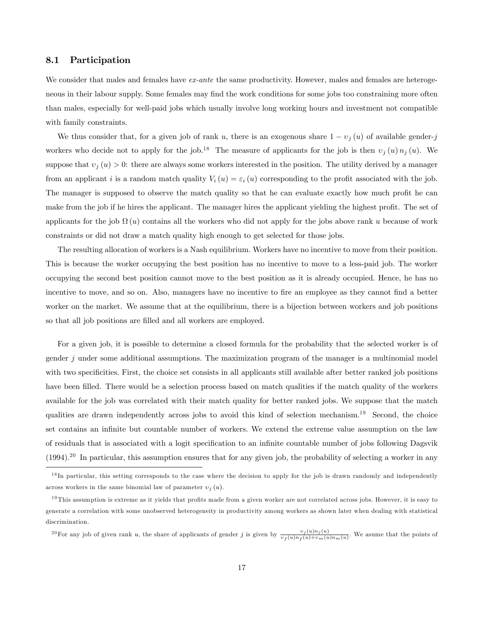#### 8.1 Participation

We consider that males and females have ex-ante the same productivity. However, males and females are heterogeneous in their labour supply. Some females may find the work conditions for some jobs too constraining more often than males, especially for well-paid jobs which usually involve long working hours and investment not compatible with family constraints.

We thus consider that, for a given job of rank u, there is an exogenous share  $1 - v_j(u)$  of available gender-j workers who decide not to apply for the job.<sup>18</sup> The measure of applicants for the job is then  $v_j(u) n_j(u)$ . We suppose that  $v_j (u) > 0$ : there are always some workers interested in the position. The utility derived by a manager from an applicant i is a random match quality  $V_i(u) = \varepsilon_i(u)$  corresponding to the profit associated with the job. The manager is supposed to observe the match quality so that he can evaluate exactly how much profit he can make from the job if he hires the applicant. The manager hires the applicant yielding the highest profit. The set of applicants for the job  $\Omega(u)$  contains all the workers who did not apply for the jobs above rank u because of work constraints or did not draw a match quality high enough to get selected for those jobs.

The resulting allocation of workers is a Nash equilibrium. Workers have no incentive to move from their position. This is because the worker occupying the best position has no incentive to move to a less-paid job. The worker occupying the second best position cannot move to the best position as it is already occupied. Hence, he has no incentive to move, and so on. Also, managers have no incentive to fire an employee as they cannot find a better worker on the market. We assume that at the equilibrium, there is a bijection between workers and job positions so that all job positions are filled and all workers are employed.

For a given job, it is possible to determine a closed formula for the probability that the selected worker is of gender  $j$  under some additional assumptions. The maximization program of the manager is a multinomial model with two specificities. First, the choice set consists in all applicants still available after better ranked job positions have been filled. There would be a selection process based on match qualities if the match quality of the workers available for the job was correlated with their match quality for better ranked jobs. We suppose that the match qualities are drawn independently across jobs to avoid this kind of selection mechanism.<sup>19</sup> Second, the choice set contains an infinite but countable number of workers. We extend the extreme value assumption on the law of residuals that is associated with a logit specification to an infinite countable number of jobs following Dagsvik  $(1994).^{20}$  In particular, this assumption ensures that for any given job, the probability of selecting a worker in any

<sup>20</sup>For any job of given rank u, the share of applicants of gender j is given by  $\frac{v_j(u)n_j(u)}{v_f(u)n_f(u)+v_m(u)n_m(u)}$ . We asume that the points of

<sup>&</sup>lt;sup>18</sup>In particular, this setting corresponds to the case where the decision to apply for the job is drawn randomly and independently across workers in the same binomial law of parameter  $v_j(u)$ .

 $19$ This assumption is extreme as it yields that profits made from a given worker are not correlated across jobs. However, it is easy to generate a correlation with some unobserved heterogeneity in productivity among workers as shown later when dealing with statistical discrimination.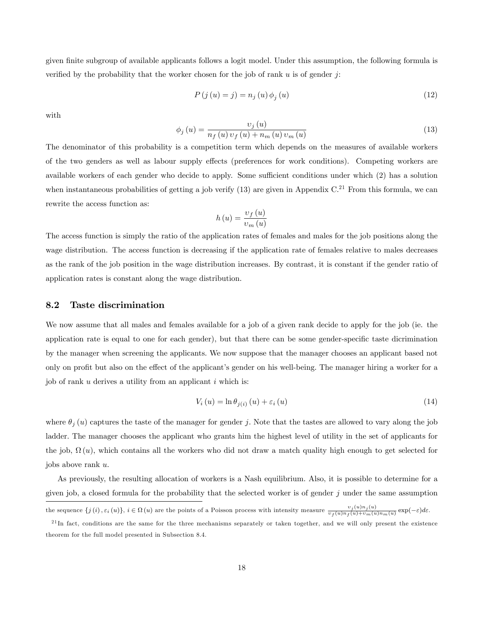given finite subgroup of available applicants follows a logit model. Under this assumption, the following formula is verified by the probability that the worker chosen for the job of rank  $u$  is of gender j:

$$
P(j(u) = j) = n_j(u)\phi_j(u)
$$
\n(12)

with

$$
\phi_{j}(u) = \frac{v_{j}(u)}{n_{f}(u) v_{f}(u) + n_{m}(u) v_{m}(u)}
$$
\n(13)

The denominator of this probability is a competition term which depends on the measures of available workers of the two genders as well as labour supply effects (preferences for work conditions). Competing workers are available workers of each gender who decide to apply. Some sufficient conditions under which (2) has a solution when instantaneous probabilities of getting a job verify  $(13)$  are given in Appendix C.<sup>21</sup> From this formula, we can rewrite the access function as:

$$
h(u) = \frac{v_f(u)}{v_m(u)}
$$

The access function is simply the ratio of the application rates of females and males for the job positions along the wage distribution. The access function is decreasing if the application rate of females relative to males decreases as the rank of the job position in the wage distribution increases. By contrast, it is constant if the gender ratio of application rates is constant along the wage distribution.

### 8.2 Taste discrimination

We now assume that all males and females available for a job of a given rank decide to apply for the job (ie. the application rate is equal to one for each gender), but that there can be some gender-specific taste dicrimination by the manager when screening the applicants. We now suppose that the manager chooses an applicant based not only on profit but also on the effect of the applicant's gender on his well-being. The manager hiring a worker for a job of rank  $u$  derives a utility from an applicant  $i$  which is:

$$
V_i(u) = \ln \theta_{j(i)}(u) + \varepsilon_i(u) \tag{14}
$$

where  $\theta_i(u)$  captures the taste of the manager for gender j. Note that the tastes are allowed to vary along the job ladder. The manager chooses the applicant who grants him the highest level of utility in the set of applicants for the job,  $\Omega(u)$ , which contains all the workers who did not draw a match quality high enough to get selected for jobs above rank u.

As previously, the resulting allocation of workers is a Nash equilibrium. Also, it is possible to determine for a given job, a closed formula for the probability that the selected worker is of gender  $j$  under the same assumption

the sequence  $\{j(i), \varepsilon_i(u)\}, i \in \Omega(u)$  are the points of a Poisson process with intensity measure  $\frac{v_j(u)n_j(u)}{v_f(u)n_f(u)+v_m(u)n_m(u)}$  exp $(-\varepsilon)d\varepsilon$ .

 $^{21}$ In fact, conditions are the same for the three mechanisms separately or taken together, and we will only present the existence theorem for the full model presented in Subsection 8.4.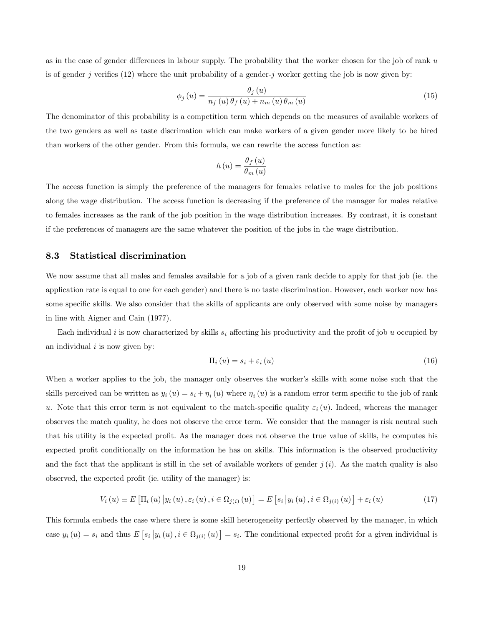as in the case of gender differences in labour supply. The probability that the worker chosen for the job of rank  $u$ is of gender j verifies  $(12)$  where the unit probability of a gender-j worker getting the job is now given by:

$$
\phi_j\left(u\right) = \frac{\theta_j\left(u\right)}{n_f\left(u\right)\theta_f\left(u\right) + n_m\left(u\right)\theta_m\left(u\right)}\tag{15}
$$

The denominator of this probability is a competition term which depends on the measures of available workers of the two genders as well as taste discrimation which can make workers of a given gender more likely to be hired than workers of the other gender. From this formula, we can rewrite the access function as:

$$
h\left(u\right) = \frac{\theta_f\left(u\right)}{\theta_m\left(u\right)}
$$

The access function is simply the preference of the managers for females relative to males for the job positions along the wage distribution. The access function is decreasing if the preference of the manager for males relative to females increases as the rank of the job position in the wage distribution increases. By contrast, it is constant if the preferences of managers are the same whatever the position of the jobs in the wage distribution.

#### 8.3 Statistical discrimination

We now assume that all males and females available for a job of a given rank decide to apply for that job (ie. the application rate is equal to one for each gender) and there is no taste discrimination. However, each worker now has some specific skills. We also consider that the skills of applicants are only observed with some noise by managers in line with Aigner and Cain (1977).

Each individual i is now characterized by skills  $s_i$  affecting his productivity and the profit of job u occupied by an individual  $i$  is now given by:

$$
\Pi_i(u) = s_i + \varepsilon_i(u) \tag{16}
$$

When a worker applies to the job, the manager only observes the worker's skills with some noise such that the skills perceived can be written as  $y_i(u) = s_i + \eta_i(u)$  where  $\eta_i(u)$  is a random error term specific to the job of rank u. Note that this error term is not equivalent to the match-specific quality  $\varepsilon_i(u)$ . Indeed, whereas the manager observes the match quality, he does not observe the error term. We consider that the manager is risk neutral such that his utility is the expected profit. As the manager does not observe the true value of skills, he computes his expected profit conditionally on the information he has on skills. This information is the observed productivity and the fact that the applicant is still in the set of available workers of gender  $j(i)$ . As the match quality is also observed, the expected profit (ie. utility of the manager) is:

$$
V_{i}(u) \equiv E\left[\Pi_{i}(u) \, \big| y_{i}(u), \varepsilon_{i}(u), i \in \Omega_{j(i)}(u) \right] = E\left[s_{i} \, \big| y_{i}(u), i \in \Omega_{j(i)}(u)\right] + \varepsilon_{i}(u) \tag{17}
$$

This formula embeds the case where there is some skill heterogeneity perfectly observed by the manager, in which case  $y_i(u) = s_i$  and thus  $E[s_i | y_i(u), i \in \Omega_{j(i)}(u)] = s_i$ . The conditional expected profit for a given individual is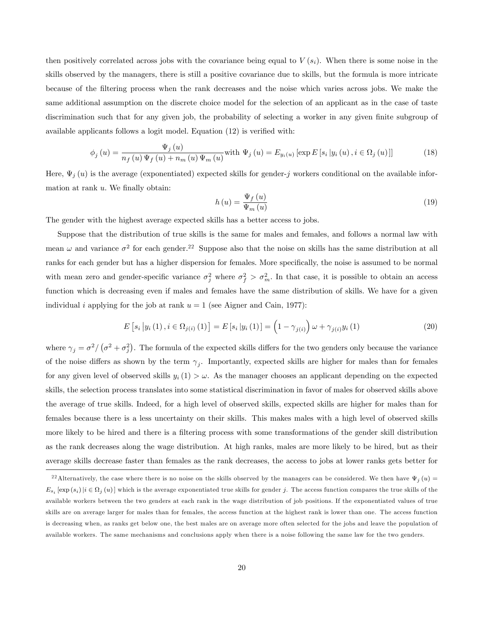then positively correlated across jobs with the covariance being equal to  $V(s_i)$ . When there is some noise in the skills observed by the managers, there is still a positive covariance due to skills, but the formula is more intricate because of the Öltering process when the rank decreases and the noise which varies across jobs. We make the same additional assumption on the discrete choice model for the selection of an applicant as in the case of taste discrimination such that for any given job, the probability of selecting a worker in any given finite subgroup of available applicants follows a logit model. Equation  $(12)$  is verified with:

$$
\phi_j\left(u\right) = \frac{\Psi_j\left(u\right)}{n_f\left(u\right)\Psi_f\left(u\right) + n_m\left(u\right)\Psi_m\left(u\right)} \text{with } \Psi_j\left(u\right) = E_{y_i\left(u\right)}\left[\exp E\left[s_i\left|y_i\left(u\right), i \in \Omega_j\left(u\right)\right]\right] \tag{18}
$$

Here,  $\Psi_j(u)$  is the average (exponentiated) expected skills for gender-j workers conditional on the available information at rank  $u$ . We finally obtain:

$$
h\left(u\right) = \frac{\Psi_f\left(u\right)}{\Psi_m\left(u\right)}\tag{19}
$$

The gender with the highest average expected skills has a better access to jobs.

Suppose that the distribution of true skills is the same for males and females, and follows a normal law with mean  $\omega$  and variance  $\sigma^2$  for each gender.<sup>22</sup> Suppose also that the noise on skills has the same distribution at all ranks for each gender but has a higher dispersion for females. More specifically, the noise is assumed to be normal with mean zero and gender-specific variance  $\sigma_j^2$  where  $\sigma_f^2 > \sigma_m^2$ . In that case, it is possible to obtain an access function which is decreasing even if males and females have the same distribution of skills. We have for a given individual i applying for the job at rank  $u = 1$  (see Aigner and Cain, 1977):

$$
E\left[s_i\,|y_i\,(1)\,,i\in\Omega_{j(i)}\,(1)\right] = E\left[s_i\,|y_i\,(1)\right] = \left(1-\gamma_{j(i)}\right)\omega + \gamma_{j(i)}y_i\,(1) \tag{20}
$$

where  $\gamma_j = \sigma^2/(\sigma^2 + \sigma_j^2)$ . The formula of the expected skills differs for the two genders only because the variance of the noise differs as shown by the term  $\gamma_j$ . Importantly, expected skills are higher for males than for females for any given level of observed skills  $y_i(1) > \omega$ . As the manager chooses an applicant depending on the expected skills, the selection process translates into some statistical discrimination in favor of males for observed skills above the average of true skills. Indeed, for a high level of observed skills, expected skills are higher for males than for females because there is a less uncertainty on their skills. This makes males with a high level of observed skills more likely to be hired and there is a filtering process with some transformations of the gender skill distribution as the rank decreases along the wage distribution. At high ranks, males are more likely to be hired, but as their average skills decrease faster than females as the rank decreases, the access to jobs at lower ranks gets better for

<sup>&</sup>lt;sup>22</sup>Alternatively, the case where there is no noise on the skills observed by the managers can be considered. We then have  $\Psi_j(u)$  $E_{s_i}$  [exp( $s_i$ ) |i  $\in \Omega_j(u)$ ] which is the average exponentiated true skills for gender j. The access function compares the true skills of the available workers between the two genders at each rank in the wage distribution of job positions. If the exponentiated values of true skills are on average larger for males than for females, the access function at the highest rank is lower than one. The access function is decreasing when, as ranks get below one, the best males are on average more often selected for the jobs and leave the population of available workers. The same mechanisms and conclusions apply when there is a noise following the same law for the two genders.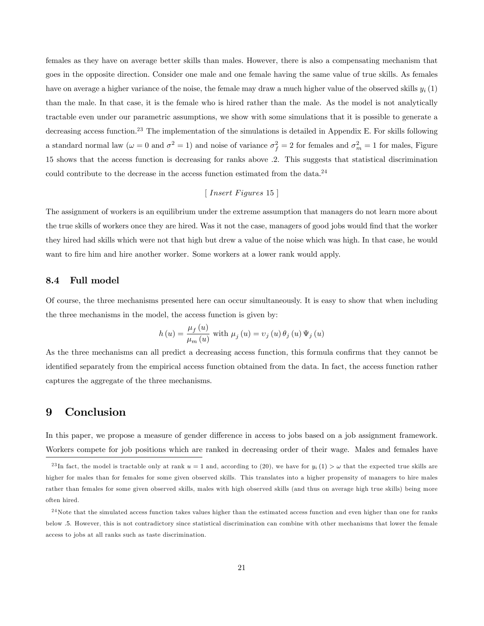females as they have on average better skills than males. However, there is also a compensating mechanism that goes in the opposite direction. Consider one male and one female having the same value of true skills. As females have on average a higher variance of the noise, the female may draw a much higher value of the observed skills  $y_i(1)$ than the male. In that case, it is the female who is hired rather than the male. As the model is not analytically tractable even under our parametric assumptions, we show with some simulations that it is possible to generate a decreasing access function.<sup>23</sup> The implementation of the simulations is detailed in Appendix E. For skills following a standard normal law ( $\omega = 0$  and  $\sigma^2 = 1$ ) and noise of variance  $\sigma_f^2 = 2$  for females and  $\sigma_m^2 = 1$  for males, Figure 15 shows that the access function is decreasing for ranks above :2. This suggests that statistical discrimination could contribute to the decrease in the access function estimated from the data.<sup>24</sup>

#### $\lceil$  Insert Figures 15  $\rceil$

The assignment of workers is an equilibrium under the extreme assumption that managers do not learn more about the true skills of workers once they are hired. Was it not the case, managers of good jobs would find that the worker they hired had skills which were not that high but drew a value of the noise which was high. In that case, he would want to fire him and hire another worker. Some workers at a lower rank would apply.

#### 8.4 Full model

Of course, the three mechanisms presented here can occur simultaneously. It is easy to show that when including the three mechanisms in the model, the access function is given by:

$$
h\left(u\right) = \frac{\mu_f\left(u\right)}{\mu_m\left(u\right)} \text{ with } \mu_j\left(u\right) = \nu_j\left(u\right) \theta_j\left(u\right) \Psi_j\left(u\right)
$$

As the three mechanisms can all predict a decreasing access function, this formula confirms that they cannot be identified separately from the empirical access function obtained from the data. In fact, the access function rather captures the aggregate of the three mechanisms.

## 9 Conclusion

In this paper, we propose a measure of gender difference in access to jobs based on a job assignment framework. Workers compete for job positions which are ranked in decreasing order of their wage. Males and females have

<sup>&</sup>lt;sup>23</sup>In fact, the model is tractable only at rank  $u = 1$  and, according to (20), we have for  $y_i(1) > \omega$  that the expected true skills are higher for males than for females for some given observed skills. This translates into a higher propensity of managers to hire males rather than females for some given observed skills, males with high observed skills (and thus on average high true skills) being more often hired.

 $^{24}$ Note that the simulated access function takes values higher than the estimated access function and even higher than one for ranks below :5. However, this is not contradictory since statistical discrimination can combine with other mechanisms that lower the female access to jobs at all ranks such as taste discrimination.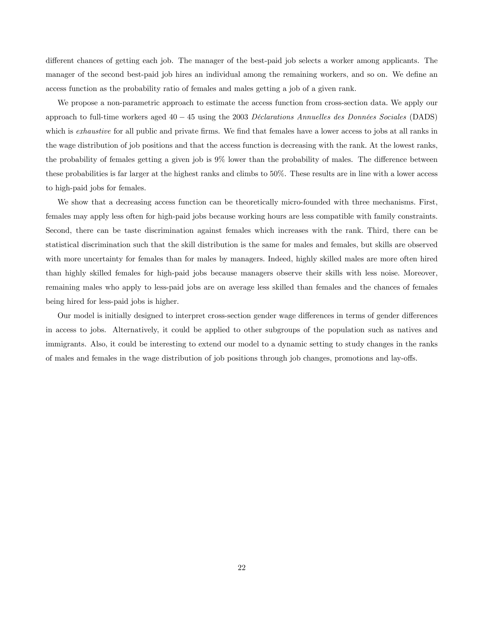different chances of getting each job. The manager of the best-paid job selects a worker among applicants. The manager of the second best-paid job hires an individual among the remaining workers, and so on. We define an access function as the probability ratio of females and males getting a job of a given rank.

We propose a non-parametric approach to estimate the access function from cross-section data. We apply our approach to full-time workers aged  $40 - 45$  using the 2003 Déclarations Annuelles des Données Sociales (DADS) which is *exhaustive* for all public and private firms. We find that females have a lower access to jobs at all ranks in the wage distribution of job positions and that the access function is decreasing with the rank. At the lowest ranks, the probability of females getting a given job is 9% lower than the probability of males. The difference between these probabilities is far larger at the highest ranks and climbs to 50%. These results are in line with a lower access to high-paid jobs for females.

We show that a decreasing access function can be theoretically micro-founded with three mechanisms. First, females may apply less often for high-paid jobs because working hours are less compatible with family constraints. Second, there can be taste discrimination against females which increases with the rank. Third, there can be statistical discrimination such that the skill distribution is the same for males and females, but skills are observed with more uncertainty for females than for males by managers. Indeed, highly skilled males are more often hired than highly skilled females for high-paid jobs because managers observe their skills with less noise. Moreover, remaining males who apply to less-paid jobs are on average less skilled than females and the chances of females being hired for less-paid jobs is higher.

Our model is initially designed to interpret cross-section gender wage differences in terms of gender differences in access to jobs. Alternatively, it could be applied to other subgroups of the population such as natives and immigrants. Also, it could be interesting to extend our model to a dynamic setting to study changes in the ranks of males and females in the wage distribution of job positions through job changes, promotions and lay-offs.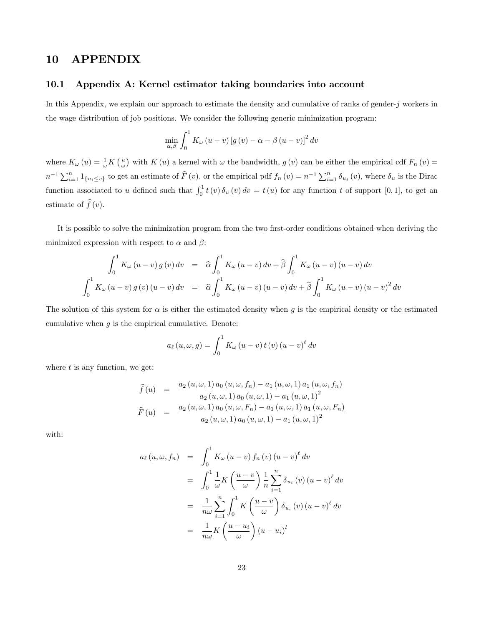## 10 APPENDIX

#### 10.1 Appendix A: Kernel estimator taking boundaries into account

In this Appendix, we explain our approach to estimate the density and cumulative of ranks of gender- $j$  workers in the wage distribution of job positions. We consider the following generic minimization program:

$$
\min_{\alpha,\beta} \int_0^1 K_{\omega} (u - v) \left[ g(v) - \alpha - \beta (u - v) \right]^2 dv
$$

where  $K_{\omega}(u) = \frac{1}{\omega} K\left(\frac{u}{\omega}\right)$  with  $K(u)$  a kernel with  $\omega$  the bandwidth,  $g(v)$  can be either the empirical cdf  $F_n(v)$  =  $n^{-1}\sum_{i=1}^{n}1_{\{u_i\leq v\}}$  to get an estimate of  $\widehat{F}(v)$ , or the empirical pdf  $f_n(v)=n^{-1}\sum_{i=1}^{n}\delta_{u_i}(v)$ , where  $\delta_u$  is the Dirac function associated to u defined such that  $\int_0^1 t(v) \, \delta_u(v) \, dv = t(u)$  for any function t of support [0,1], to get an estimate of  $\widehat{f}(v)$ .

It is possible to solve the minimization program from the two first-order conditions obtained when deriving the minimized expression with respect to  $\alpha$  and  $\beta$ :

$$
\int_0^1 K_{\omega} (u - v) g(v) dv = \hat{\alpha} \int_0^1 K_{\omega} (u - v) dv + \hat{\beta} \int_0^1 K_{\omega} (u - v) (u - v) dv
$$
  

$$
\int_0^1 K_{\omega} (u - v) g(v) (u - v) dv = \hat{\alpha} \int_0^1 K_{\omega} (u - v) (u - v) dv + \hat{\beta} \int_0^1 K_{\omega} (u - v) (u - v)^2 dv
$$

The solution of this system for  $\alpha$  is either the estimated density when g is the empirical density or the estimated cumulative when  $g$  is the empirical cumulative. Denote:

$$
a_{\ell}(u,\omega,g) = \int_0^1 K_{\omega}(u-v) t(v) (u-v)^{\ell} dv
$$

where  $t$  is any function, we get:

$$
\hat{f}(u) = \frac{a_2(u,\omega,1) a_0(u,\omega,f_n) - a_1(u,\omega,1) a_1(u,\omega,f_n)}{a_2(u,\omega,1) a_0(u,\omega,1) - a_1(u,\omega,1)^2}
$$
\n
$$
\hat{F}(u) = \frac{a_2(u,\omega,1) a_0(u,\omega,F_n) - a_1(u,\omega,1) a_1(u,\omega,F_n)}{a_2(u,\omega,1) a_0(u,\omega,1) - a_1(u,\omega,1)^2}
$$

with:

$$
a_{\ell}(u,\omega,f_n) = \int_0^1 K_{\omega}(u-v) f_n(v) (u-v)^{\ell} dv
$$
  

$$
= \int_0^1 \frac{1}{\omega} K\left(\frac{u-v}{\omega}\right) \frac{1}{n} \sum_{i=1}^n \delta_{u_i}(v) (u-v)^{\ell} dv
$$
  

$$
= \frac{1}{n\omega} \sum_{i=1}^n \int_0^1 K\left(\frac{u-v}{\omega}\right) \delta_{u_i}(v) (u-v)^{\ell} dv
$$
  

$$
= \frac{1}{n\omega} K\left(\frac{u-u_i}{\omega}\right) (u-u_i)^l
$$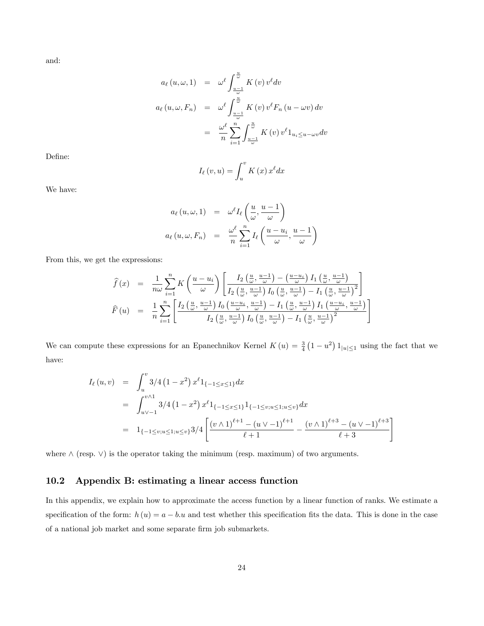and:

$$
a_{\ell}(u,\omega,1) = \omega^{\ell} \int_{\frac{u-1}{\omega}}^{\frac{u}{\omega}} K(v) v^{\ell} dv
$$
  

$$
a_{\ell}(u,\omega,F_n) = \omega^{\ell} \int_{\frac{u-1}{\omega}}^{\frac{u}{\omega}} K(v) v^{\ell} F_n (u - \omega v) dv
$$
  

$$
= \frac{\omega^{\ell}}{n} \sum_{i=1}^{n} \int_{\frac{u-1}{\omega}}^{\frac{u}{\omega}} K(v) v^{\ell} 1_{u_i \le u - \omega v} dv
$$

Define:

$$
I_{\ell}(v, u) = \int_{u}^{v} K(x) x^{\ell} dx
$$

We have:

$$
a_{\ell}(u,\omega,1) = \omega^{\ell} I_{\ell}\left(\frac{u}{\omega},\frac{u-1}{\omega}\right)
$$

$$
a_{\ell}(u,\omega,F_n) = \frac{\omega^{\ell}}{n} \sum_{i=1}^{n} I_{\ell}\left(\frac{u-u_i}{\omega},\frac{u-1}{\omega}\right)
$$

From this, we get the expressions:

$$
\hat{f}(x) = \frac{1}{n\omega} \sum_{i=1}^{n} K\left(\frac{u-u_i}{\omega}\right) \left[ \frac{I_2\left(\frac{u}{\omega}, \frac{u-1}{\omega}\right) - \left(\frac{u-u_i}{\omega}\right) I_1\left(\frac{u}{\omega}, \frac{u-1}{\omega}\right)}{I_2\left(\frac{u}{\omega}, \frac{u-1}{\omega}\right) I_0\left(\frac{u}{\omega}, \frac{u-1}{\omega}\right) - I_1\left(\frac{u}{\omega}, \frac{u-1}{\omega}\right)^2} \right]
$$
\n
$$
\hat{F}(u) = \frac{1}{n} \sum_{i=1}^{n} \left[ \frac{I_2\left(\frac{u}{\omega}, \frac{u-1}{\omega}\right) I_0\left(\frac{u-u_i}{\omega}, \frac{u-1}{\omega}\right) - I_1\left(\frac{u}{\omega}, \frac{u-1}{\omega}\right) I_1\left(\frac{u-u_i}{\omega}, \frac{u-1}{\omega}\right)}{I_2\left(\frac{u}{\omega}, \frac{u-1}{\omega}\right) I_0\left(\frac{u}{\omega}, \frac{u-1}{\omega}\right) - I_1\left(\frac{u}{\omega}, \frac{u-1}{\omega}\right)^2} \right]
$$

We can compute these expressions for an Epanechnikov Kernel  $K(u) = \frac{3}{4}(1 - u^2) 1_{|u| \leq 1}$  using the fact that we have:

$$
I_{\ell}(u,v) = \int_{u}^{v} 3/4 (1 - x^{2}) x^{\ell} 1_{\{-1 \le x \le 1\}} dx
$$
  
= 
$$
\int_{u \vee -1}^{v \wedge 1} 3/4 (1 - x^{2}) x^{\ell} 1_{\{-1 \le x \le 1\}} 1_{\{-1 \le v; u \le 1; u \le v\}} dx
$$
  
= 
$$
1_{\{-1 \le v; u \le 1; u \le v\}} 3/4 \left[ \frac{(v \wedge 1)^{\ell+1} - (u \vee -1)^{\ell+1}}{\ell+1} - \frac{(v \wedge 1)^{\ell+3} - (u \vee -1)^{\ell+3}}{\ell+3} \right]
$$

where  $\wedge$  (resp.  $\vee$ ) is the operator taking the minimum (resp. maximum) of two arguments.

## 10.2 Appendix B: estimating a linear access function

In this appendix, we explain how to approximate the access function by a linear function of ranks. We estimate a specification of the form:  $h(u) = a - b \cdot u$  and test whether this specification fits the data. This is done in the case of a national job market and some separate firm job submarkets.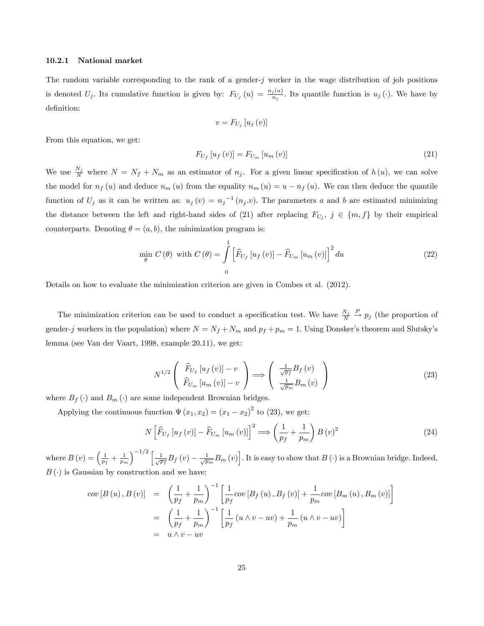#### 10.2.1 National market

The random variable corresponding to the rank of a gender-j worker in the wage distribution of job positions is denoted  $U_j$ . Its cumulative function is given by:  $F_{U_j}(u) = \frac{n_j(u)}{n_j}$ . Its quantile function is  $u_j(\cdot)$ . We have by definition:

$$
v = F_{U_j} [u_j (v)]
$$

From this equation, we get:

$$
F_{U_f} [u_f (v)] = F_{U_m} [u_m (v)] \tag{21}
$$

We use  $\frac{N_j}{N}$  where  $N = N_f + N_m$  as an estimator of  $n_j$ . For a given linear specification of  $h(u)$ , we can solve the model for  $n_f(u)$  and deduce  $n_m(u)$  from the equality  $n_m(u) = u - n_f(u)$ . We can then deduce the quantile function of  $U_j$  as it can be written as:  $u_j(v) = n_j^{-1}(n_j.v)$ . The parameters a and b are estimated minimizing the distance between the left and right-hand sides of (21) after replacing  $F_{U_j}$ ,  $j \in \{m, f\}$  by their empirical counterparts. Denoting  $\theta = (a, b)$ , the minimization program is:

$$
\min_{\theta} C(\theta) \text{ with } C(\theta) = \int_{0}^{1} \left[ \widehat{F}_{U_f} \left[ u_f\left(v\right) \right] - \widehat{F}_{U_m} \left[ u_m\left(v\right) \right] \right]^2 du \tag{22}
$$

Details on how to evaluate the minimization criterion are given in Combes et al. (2012).

The minimization criterion can be used to conduct a specification test. We have  $\frac{N_j}{N} \stackrel{P}{\to} p_j$  (the proportion of gender-j workers in the population) where  $N = N_f + N_m$  and  $p_f + p_m = 1$ . Using Donsker's theorem and Slutsky's lemma (see Van der Vaart, 1998, example 20.11), we get:

$$
N^{1/2}\left(\begin{array}{c}\widehat{F}_{U_f}\left[u_f\left(v\right)\right]-v\\ \widehat{F}_{U_m}\left[u_m\left(v\right)\right]-v\end{array}\right)\Longrightarrow\left(\begin{array}{c}\frac{1}{\sqrt{p_f}}B_f\left(v\right)\\ \frac{1}{\sqrt{p_m}}B_m\left(v\right)\end{array}\right)
$$
\n(23)

where  $B_f(\cdot)$  and  $B_m(\cdot)$  are some independent Brownian bridges.

Applying the continuous function  $\Psi(x_1, x_2) = (x_1 - x_2)^2$  to (23), we get:

$$
N\left[\widehat{F}_{U_f}\left[u_f\left(v\right)\right] - \widehat{F}_{U_m}\left[u_m\left(v\right)\right]\right]^2 \Longrightarrow \left(\frac{1}{p_f} + \frac{1}{p_m}\right)B\left(v\right)^2\tag{24}
$$

where  $B(v) = \left(\frac{1}{p_f} + \frac{1}{p_m}\right)$  $\int_{0}^{-1/2} \left[ \frac{1}{\sqrt{p_f}} B_f(v) - \frac{1}{\sqrt{p_m}} B_m(v) \right]$ . It is easy to show that  $B(v)$  is a Brownian bridge. Indeed,  $B(\cdot)$  is Gaussian by construction and we have:

$$
cov [B (u), B (v)] = \left(\frac{1}{p_f} + \frac{1}{p_m}\right)^{-1} \left[\frac{1}{p_f} cov [B_f (u), B_f (v)] + \frac{1}{p_m} cov [B_m (u), B_m (v)]\right]
$$
  

$$
= \left(\frac{1}{p_f} + \frac{1}{p_m}\right)^{-1} \left[\frac{1}{p_f} (u \wedge v - uv) + \frac{1}{p_m} (u \wedge v - uv)\right]
$$
  

$$
= u \wedge v - uv
$$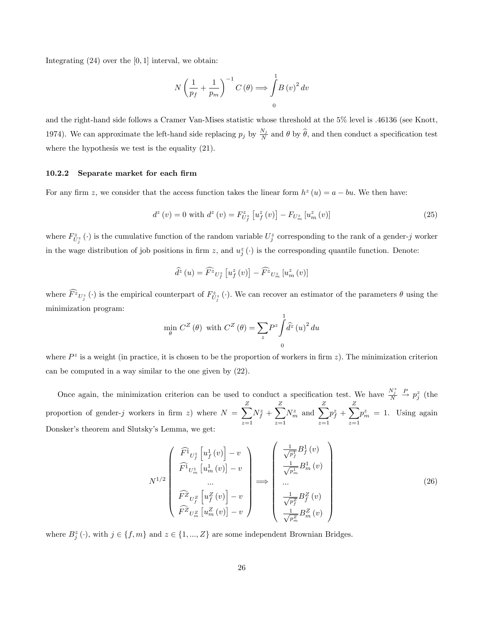Integrating  $(24)$  over the  $[0, 1]$  interval, we obtain:

$$
N\left(\frac{1}{p_f} + \frac{1}{p_m}\right)^{-1} C(\theta) \Longrightarrow \int_{0}^{1} B(v)^2 dv
$$

and the right-hand side follows a Cramer Van-Mises statistic whose threshold at the 5% level is :46136 (see Knott, 1974). We can approximate the left-hand side replacing  $p_j$  by  $\frac{N_j}{N}$  and  $\theta$  by  $\widehat{\theta}$ , and then conduct a specification test where the hypothesis we test is the equality (21).

#### 10.2.2 Separate market for each firm

For any firm z, we consider that the access function takes the linear form  $h^z(u) = a - bu$ . We then have:

$$
d^{z}(v) = 0 \text{ with } d^{z}(v) = F_{U_{f}^{z}}^{z}[u_{f}^{z}(v)] - F_{U_{m}^{z}}[u_{m}^{z}(v)] \qquad (25)
$$

where  $F_{U_j^z}^z(\cdot)$  is the cumulative function of the random variable  $U_j^z$  corresponding to the rank of a gender-j worker in the wage distribution of job positions in firm z, and  $u_j^z(\cdot)$  is the corresponding quantile function. Denote:

$$
\widehat{d^z}\left(u\right) = \widehat{F^z}_{U_f^z}\left[u_f^z\left(v\right)\right] - \widehat{F^z}_{U_m^z}\left[u_m^z\left(v\right)\right]
$$

where  $\widehat{F}^z \nu_{j}^{\alpha}(\cdot)$  is the empirical counterpart of  $F_{\tilde{U}_{j}^z}^{\alpha}(\cdot)$ . We can recover an estimator of the parameters  $\theta$  using the minimization program:

$$
\min_{\theta} C^{Z}(\theta) \text{ with } C^{Z}(\theta) = \sum_{z} P^{z} \int_{0}^{1} \hat{d}^{z} (u)^{2} du
$$

where  $P^z$  is a weight (in practice, it is chosen to be the proportion of workers in firm z). The minimization criterion can be computed in a way similar to the one given by (22).

Once again, the minimization criterion can be used to conduct a specification test. We have  $\frac{N_j^z}{N} \stackrel{P}{\to} p_j^z$  (the proportion of gender-j workers in firm z) where  $N = \sum_{i=1}^{Z}$  $z=1$  $N_f^z + \sum^Z$  $z=1$  $N_m^z$  and  $\sum_{}^{Z}$  $z=1$  $p_{f}^{z}+\sum\limits_{-}^{Z}% \left( \tau_{f}+\tau_{g}^{z}\right) ^{2}$  $z=1$  $p_m^z = 1$ . Using again Donsker's theorem and Slutsky's Lemma, we get:

$$
N^{1/2} \begin{pmatrix} \widehat{F}^1_{U_f^1} \left[ u_f^1(v) \right] - v \\ \widehat{F}^1_{U_m^1} \left[ u_m^1(v) \right] - v \\ \dots \\ \widehat{F}^2_{U_f^Z} \left[ u_f^Z(v) \right] - v \\ \widehat{F}^Z_{U_m^Z} \left[ u_f^Z(v) \right] - v \end{pmatrix} \Longrightarrow \begin{pmatrix} \frac{1}{\sqrt{p_f^1}} B_f^1(v) \\ \frac{1}{\sqrt{p_m^1}} B_m^1(v) \\ \dots \\ \frac{1}{\sqrt{p_f^Z}} B_f^Z(v) \\ \frac{1}{\sqrt{p_m^Z}} B_f^Z(v) \\ \frac{1}{\sqrt{p_m^Z}} B_m^Z(v) \end{pmatrix}
$$
(26)

where  $B_j^z(\cdot)$ , with  $j \in \{f, m\}$  and  $z \in \{1, ..., Z\}$  are some independent Brownian Bridges.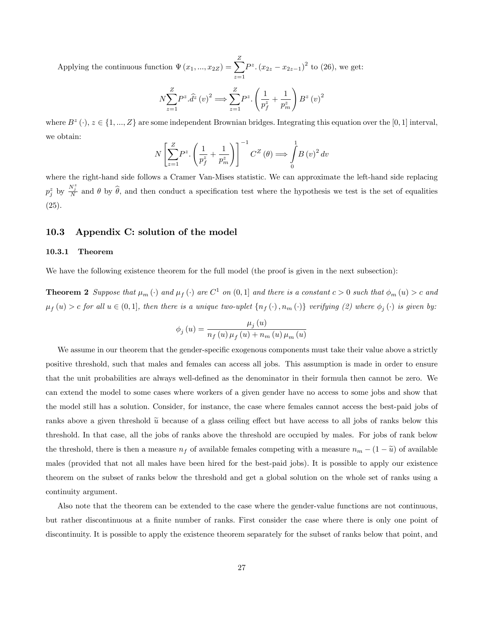Applying the continuous function  $\Psi(x_1, ..., x_{2Z}) = \sum_{n=1}^{Z}$  $z=1$  $P^{z}$ .  $(x_{2z} - x_{2z-1})^{2}$  to (26), we get:

$$
N\sum_{z=1}^{Z}P^{z}.\hat{d}^{z}(v)^{2} \Longrightarrow \sum_{z=1}^{Z}P^{z}.\left(\frac{1}{p_{f}^{z}}+\frac{1}{p_{m}^{z}}\right)B^{z}(v)^{2}
$$

where  $B^z(\cdot), z \in \{1, ..., Z\}$  are some independent Brownian bridges. Integrating this equation over the [0, 1] interval, we obtain:

$$
N\left[\sum_{z=1}^{Z}P^{z}\left(\frac{1}{p_{f}^{z}}+\frac{1}{p_{m}^{z}}\right)\right]^{-1}C^{Z}\left(\theta\right) \Longrightarrow \int_{0}^{1}B\left(v\right)^{2}dv
$$

where the right-hand side follows a Cramer Van-Mises statistic. We can approximate the left-hand side replacing  $p_j^z$  by  $\frac{N_j^z}{N}$  and  $\theta$  by  $\hat{\theta}$ , and then conduct a specification test where the hypothesis we test is the set of equalities (25).

#### 10.3 Appendix C: solution of the model

#### 10.3.1 Theorem

We have the following existence theorem for the full model (the proof is given in the next subsection):

**Theorem 2** Suppose that  $\mu_m$  ( $\cdot$ ) and  $\mu_f$  ( $\cdot$ ) are  $C^1$  on  $(0,1]$  and there is a constant  $c > 0$  such that  $\phi_m(u) > c$  and  $\mu_f(u) > c$  for all  $u \in (0,1]$ , then there is a unique two-uplet  $\{n_f(\cdot), n_m(\cdot)\}$  verifying (2) where  $\phi_j(\cdot)$  is given by:

$$
\phi_{j}(u) = \frac{\mu_{j}(u)}{n_{f}(u)\,\mu_{f}(u) + n_{m}(u)\,\mu_{m}(u)}
$$

We assume in our theorem that the gender-specific exogenous components must take their value above a strictly positive threshold, such that males and females can access all jobs. This assumption is made in order to ensure that the unit probabilities are always well-defined as the denominator in their formula then cannot be zero. We can extend the model to some cases where workers of a given gender have no access to some jobs and show that the model still has a solution. Consider, for instance, the case where females cannot access the best-paid jobs of ranks above a given threshold  $\tilde{u}$  because of a glass ceiling effect but have access to all jobs of ranks below this threshold. In that case, all the jobs of ranks above the threshold are occupied by males. For jobs of rank below the threshold, there is then a measure  $n_f$  of available females competing with a measure  $n_m - (1 - \tilde{u})$  of available males (provided that not all males have been hired for the best-paid jobs). It is possible to apply our existence theorem on the subset of ranks below the threshold and get a global solution on the whole set of ranks using a continuity argument.

Also note that the theorem can be extended to the case where the gender-value functions are not continuous, but rather discontinuous at a finite number of ranks. First consider the case where there is only one point of discontinuity. It is possible to apply the existence theorem separately for the subset of ranks below that point, and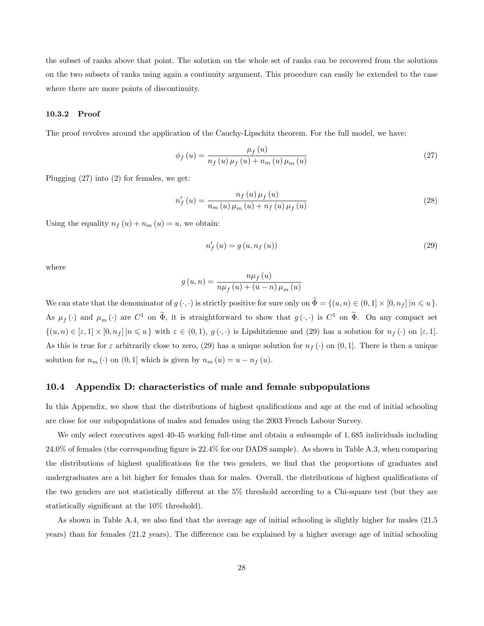the subset of ranks above that point. The solution on the whole set of ranks can be recovered from the solutions on the two subsets of ranks using again a continuity argument. This procedure can easily be extended to the case where there are more points of discontinuity.

#### 10.3.2 Proof

The proof revolves around the application of the Cauchy-Lipschitz theorem. For the full model, we have:

$$
\phi_f(u) = \frac{\mu_f(u)}{n_f(u)\,\mu_f(u) + n_m(u)\,\mu_m(u)}\tag{27}
$$

Plugging (27) into (2) for females, we get:

$$
n'_{f}(u) = \frac{n_{f}(u)\,\mu_{f}(u)}{n_{m}(u)\,\mu_{m}(u) + n_{f}(u)\,\mu_{f}(u)}
$$
\n(28)

Using the equality  $n_f(u) + n_m(u) = u$ , we obtain:

$$
n'_{f}(u) = g(u, n_{f}(u))
$$
\n(29)

where

$$
g(u, n) = \frac{n\mu_f(u)}{n\mu_f(u) + (u - n)\mu_m(u)}
$$

We can state that the denominator of  $g(\cdot, \cdot)$  is strictly positive for sure only on  $\Phi = \{(u, n) \in (0, 1] \times [0, n_f] | n \leq u\}.$ As  $\mu_f(\cdot)$  and  $\mu_m(\cdot)$  are  $C^1$  on  $\tilde{\Phi}$ , it is straightforward to show that  $g(\cdot, \cdot)$  is  $C^1$  on  $\tilde{\Phi}$ . On any compact set  $\{(u,n)\in [\varepsilon,1]\times [0,n_f]|n\leqslant u\}$  with  $\varepsilon\in (0,1), g(\cdot,\cdot)$  is Lipshitzienne and (29) has a solution for  $n_f(\cdot)$  on  $[\varepsilon,1]$ . As this is true for  $\varepsilon$  arbitrarily close to zero, (29) has a unique solution for  $n_f(\cdot)$  on (0, 1]. There is then a unique solution for  $n_m(\cdot)$  on  $(0,1]$  which is given by  $n_m(u) = u - n_f(u)$ .

#### 10.4 Appendix D: characteristics of male and female subpopulations

In this Appendix, we show that the distributions of highest qualifications and age at the end of initial schooling are close for our subpopulations of males and females using the 2003 French Labour Survey.

We only select executives aged 40-45 working full-time and obtain a subsample of 1,685 individuals including 24:0% of females (the corresponding Ögure is 22:4% for our DADS sample). As shown in Table A.3, when comparing the distributions of highest qualifications for the two genders, we find that the proportions of graduates and undergraduates are a bit higher for females than for males. Overall, the distributions of highest qualifications of the two genders are not statistically different at the  $5\%$  threshold according to a Chi-square test (but they are statistically significant at the 10\% threshold).

As shown in Table A.4, we also find that the average age of initial schooling is slightly higher for males (21.5) years) than for females (21.2 years). The difference can be explained by a higher average age of initial schooling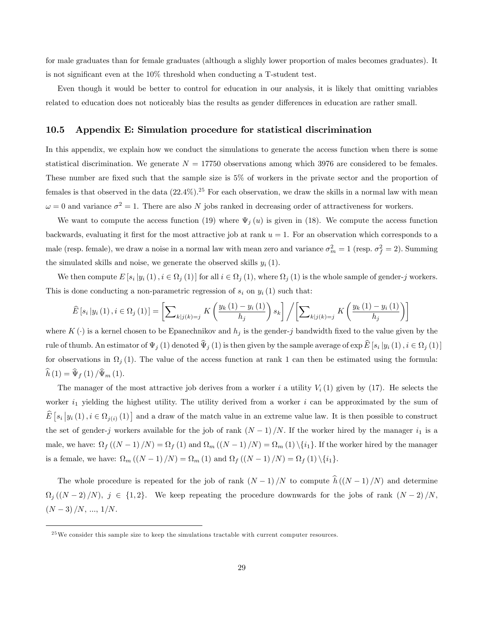for male graduates than for female graduates (although a slighly lower proportion of males becomes graduates). It is not significant even at the 10% threshold when conducting a T-student test.

Even though it would be better to control for education in our analysis, it is likely that omitting variables related to education does not noticeably bias the results as gender differences in education are rather small.

### 10.5 Appendix E: Simulation procedure for statistical discrimination

In this appendix, we explain how we conduct the simulations to generate the access function when there is some statistical discrimination. We generate  $N = 17750$  observations among which 3976 are considered to be females. These number are fixed such that the sample size is 5% of workers in the private sector and the proportion of females is that observed in the data  $(22.4\%)$ .<sup>25</sup> For each observation, we draw the skills in a normal law with mean  $\omega = 0$  and variance  $\sigma^2 = 1$ . There are also N jobs ranked in decreasing order of attractiveness for workers.

We want to compute the access function (19) where  $\Psi_j(u)$  is given in (18). We compute the access function backwards, evaluating it first for the most attractive job at rank  $u = 1$ . For an observation which corresponds to a male (resp. female), we draw a noise in a normal law with mean zero and variance  $\sigma_m^2 = 1$  (resp.  $\sigma_f^2 = 2$ ). Summing the simulated skills and noise, we generate the observed skills  $y_i$  (1).

We then compute  $E[s_i|y_i(1), i \in \Omega_j(1)]$  for all  $i \in \Omega_j(1)$ , where  $\Omega_j(1)$  is the whole sample of gender-j workers. This is done conducting a non-parametric regression of  $s_i$  on  $y_i$  (1) such that:

$$
\widehat{E}\left[s_i\left|y_i\left(1\right),i\in\Omega_j\left(1\right)\right]\right] = \left[\sum\nolimits_{k\left|j\left(k\right)=j} K\left(\frac{y_k\left(1\right)-y_i\left(1\right)}{h_j}\right)s_k\right] / \left[\sum\nolimits_{k\left|j\left(k\right)=j} K\left(\frac{y_k\left(1\right)-y_i\left(1\right)}{h_j}\right)\right]\right]
$$

where  $K(\cdot)$  is a kernel chosen to be Epanechnikov and  $h_j$  is the gender-j bandwidth fixed to the value given by the rule of thumb. An estimator of  $\Psi_j(1)$  denoted  $\Psi_j(1)$  is then given by the sample average of  $\exp E [s_i | y_i(1), i \in \Omega_j(1)]$ for observations in  $\Omega_j(1)$ . The value of the access function at rank 1 can then be estimated using the formula:  $\widehat{h}(1) = \widehat{\Psi}_f(1)/\widehat{\Psi}_m(1).$ 

The manager of the most attractive job derives from a worker i a utility  $V_i(1)$  given by (17). He selects the worker  $i_1$  yielding the highest utility. The utility derived from a worker i can be approximated by the sum of  $\widehat{E}[s_i|y_i(1), i \in \Omega_{j(i)}(1)]$  and a draw of the match value in an extreme value law. It is then possible to construct the set of gender-j workers available for the job of rank  $(N-1)/N$ . If the worker hired by the manager  $i_1$  is a male, we have:  $\Omega_f((N-1)/N) = \Omega_f(1)$  and  $\Omega_m((N-1)/N) = \Omega_m(1) \setminus \{i_1\}$ . If the worker hired by the manager is a female, we have:  $\Omega_m((N-1)/N) = \Omega_m(1)$  and  $\Omega_f((N-1)/N) = \Omega_f(1) \setminus \{i_1\}.$ 

The whole procedure is repeated for the job of rank  $(N-1)/N$  to compute  $\hat{h}((N-1)/N)$  and determine  $\Omega_j((N-2)/N), j \in \{1,2\}.$  We keep repeating the procedure downwards for the jobs of rank  $(N-2)/N$ ,  $(N-3)/N, ..., 1/N.$ 

 $25$  We consider this sample size to keep the simulations tractable with current computer resources.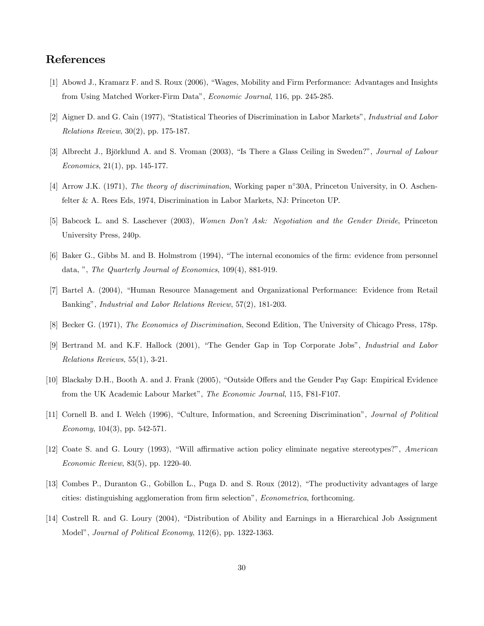## References

- [1] Abowd J., Kramarz F. and S. Roux (2006), "Wages, Mobility and Firm Performance: Advantages and Insights from Using Matched Worker-Firm Dataî, Economic Journal, 116, pp. 245-285.
- [2] Aigner D. and G. Cain (1977), "Statistical Theories of Discrimination in Labor Markets", Industrial and Labor Relations Review, 30(2), pp. 175-187.
- [3] Albrecht J., Björklund A. and S. Vroman (2003), "Is There a Glass Ceiling in Sweden?", Journal of Labour Economics, 21(1), pp. 145-177.
- [4] Arrow J.K. (1971), *The theory of discrimination*, Working paper n°30A, Princeton University, in O. Aschenfelter & A. Rees Eds, 1974, Discrimination in Labor Markets, NJ: Princeton UP.
- [5] Babcock L. and S. Laschever (2003), Women Donít Ask: Negotiation and the Gender Divide, Princeton University Press, 240p.
- [6] Baker G., Gibbs M. and B. Holmstrom (1994), "The internal economics of the firm: evidence from personnel data, ", The Quarterly Journal of Economics, 109(4), 881-919.
- [7] Bartel A. (2004), "Human Resource Management and Organizational Performance: Evidence from Retail Banking", *Industrial and Labor Relations Review*, 57(2), 181-203.
- [8] Becker G. (1971), The Economics of Discrimination, Second Edition, The University of Chicago Press, 178p.
- [9] Bertrand M. and K.F. Hallock (2001), "The Gender Gap in Top Corporate Jobs", Industrial and Labor Relations Reviews, 55(1), 3-21.
- [10] Blackaby D.H., Booth A. and J. Frank (2005), "Outside Offers and the Gender Pay Gap: Empirical Evidence from the UK Academic Labour Market", The Economic Journal, 115, F81-F107.
- [11] Cornell B. and I. Welch (1996), "Culture, Information, and Screening Discrimination", *Journal of Political* Economy,  $104(3)$ , pp. 542-571.
- [12] Coate S. and G. Loury (1993), "Will affirmative action policy eliminate negative stereotypes?", American Economic Review, 83(5), pp. 1220-40.
- [13] Combes P., Duranton G., Gobillon L., Puga D. and S. Roux (2012), "The productivity advantages of large cities: distinguishing agglomeration from firm selection", *Econometrica*, forthcoming.
- [14] Costrell R. and G. Loury (2004), "Distribution of Ability and Earnings in a Hierarchical Job Assignment Model", Journal of Political Economy, 112(6), pp. 1322-1363.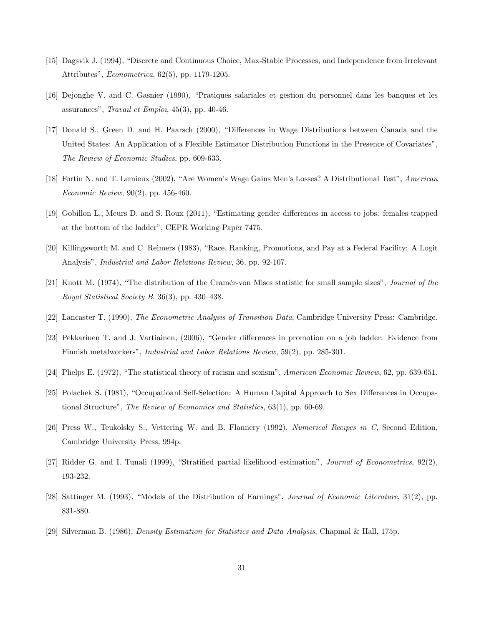- [15] Dagsvik J. (1994), "Discrete and Continuous Choice, Max-Stable Processes, and Independence from Irrelevant Attributes", *Econometrica*, 62(5), pp. 1179-1205.
- [16] Dejonghe V. and C. Gasnier (1990), "Pratiques salariales et gestion du personnel dans les banques et les assurances", Travail et Emploi,  $45(3)$ , pp.  $40-46$ .
- [17] Donald S., Green D. and H. Paarsch (2000), "Differences in Wage Distributions between Canada and the United States: An Application of a Flexible Estimator Distribution Functions in the Presence of Covariatesî, The Review of Economic Studies, pp. 609-633.
- [18] Fortin N. and T. Lemieux (2002), "Are Women's Wage Gains Men's Losses? A Distributional Test", American Economic Review, 90(2), pp. 456-460.
- [19] Gobillon L., Meurs D. and S. Roux (2011), "Estimating gender differences in access to jobs: females trapped at the bottom of the ladder", CEPR Working Paper 7475.
- [20] Killingsworth M. and C. Reimers (1983), "Race, Ranking, Promotions, and Pay at a Federal Facility: A Logit Analysis", *Industrial and Labor Relations Review*, 36, pp. 92-107.
- [21] Knott M. (1974), "The distribution of the Cramér-von Mises statistic for small sample sizes", *Journal of the* Royal Statistical Society B,  $36(3)$ , pp. 430–438.
- [22] Lancaster T. (1990), The Econometric Analysis of Transition Data, Cambridge University Press: Cambridge.
- [23] Pekkarinen T. and J. Vartiainen, (2006), "Gender differences in promotion on a job ladder: Evidence from Finnish metalworkersî, Industrial and Labor Relations Review, 59(2), pp. 285-301.
- [24] Phelps E. (1972), "The statistical theory of racism and sexism", American Economic Review, 62, pp. 639-651.
- [25] Polachek S. (1981), "Occupatioanl Self-Selection: A Human Capital Approach to Sex Differences in Occupational Structure", The Review of Economics and Statistics,  $63(1)$ , pp.  $60-69$ .
- [26] Press W., Teukolsky S., Vettering W. and B. Flannery (1992), Numerical Recipes in C, Second Edition, Cambridge University Press, 994p.
- [27] Ridder G. and I. Tunali (1999), "Stratified partial likelihood estimation", *Journal of Econometrics*,  $92(2)$ , 193-232.
- [28] Sattinger M. (1993), "Models of the Distribution of Earnings", Journal of Economic Literature, 31(2), pp. 831-880.
- [29] Silverman B. (1986), Density Estimation for Statistics and Data Analysis, Chapmal & Hall, 175p.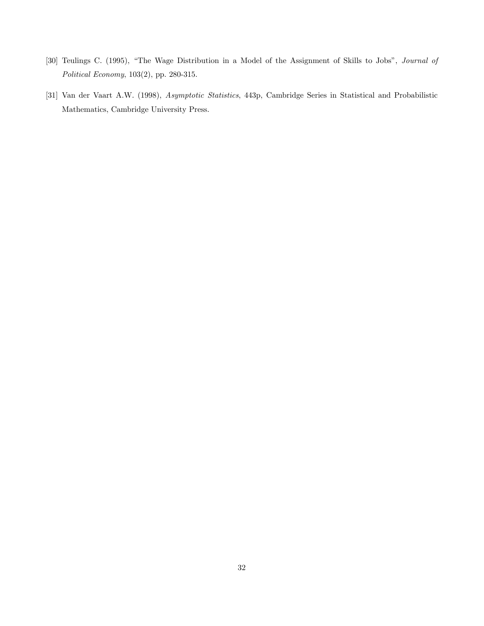- [30] Teulings C. (1995), "The Wage Distribution in a Model of the Assignment of Skills to Jobs", Journal of Political Economy, 103(2), pp. 280-315.
- [31] Van der Vaart A.W. (1998), Asymptotic Statistics, 443p, Cambridge Series in Statistical and Probabilistic Mathematics, Cambridge University Press.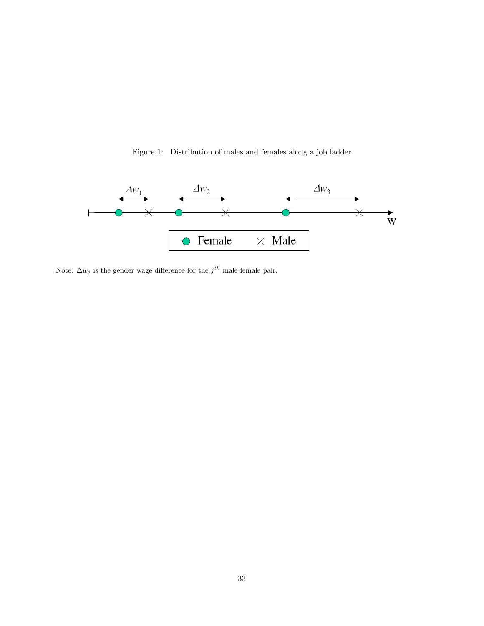Figure 1: Distribution of males and females along a job ladder



Note:  $\Delta w_j$  is the gender wage difference for the  $j^{th}$  male-female pair.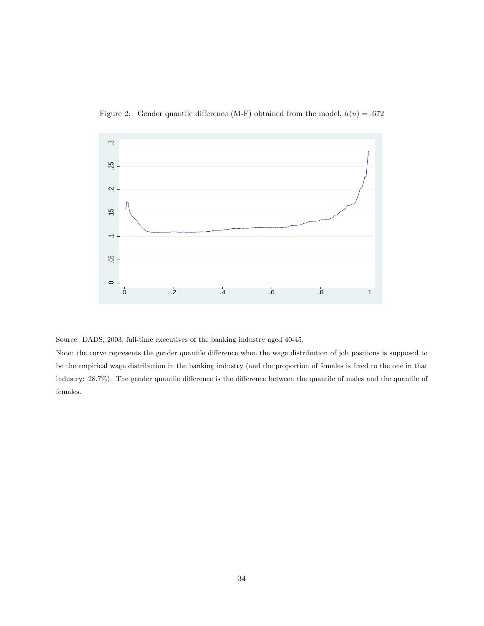

Figure 2: Gender quantile difference (M-F) obtained from the model,  $h(u) = .672$ 

Source: DADS, 2003, full-time executives of the banking industry aged 40-45.

Note: the curve represents the gender quantile difference when the wage distribution of job positions is supposed to be the empirical wage distribution in the banking industry (and the proportion of females is fixed to the one in that industry: 28.7%). The gender quantile difference is the difference between the quantile of males and the quantile of females.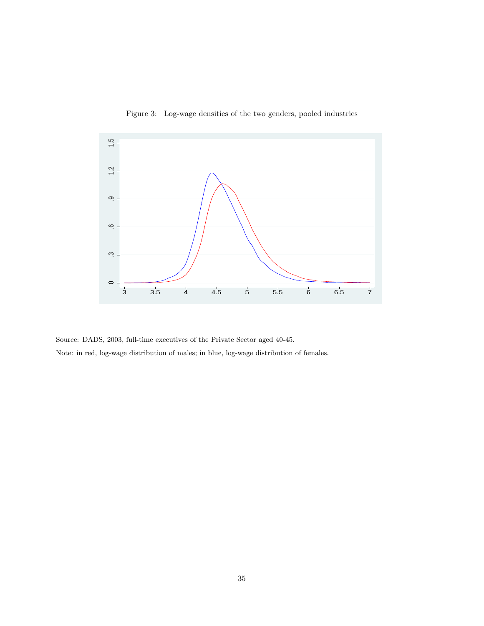

Figure 3: Log-wage densities of the two genders, pooled industries

Source: DADS, 2003, full-time executives of the Private Sector aged 40-45. Note: in red, log-wage distribution of males; in blue, log-wage distribution of females.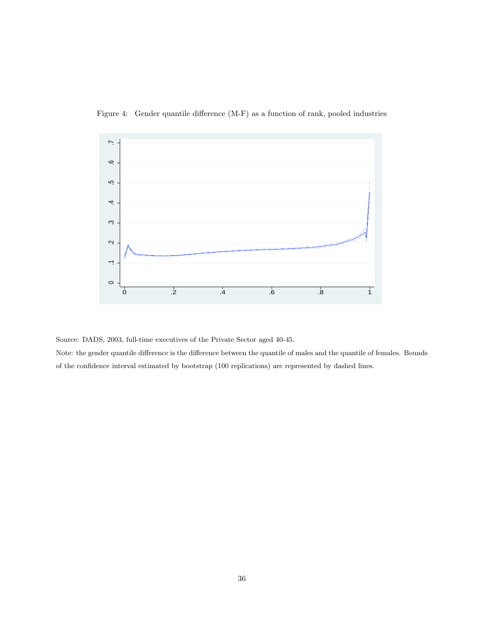

Figure 4: Gender quantile difference (M-F) as a function of rank, pooled industries

Source: DADS, 2003, full-time executives of the Private Sector aged 40-45.

Note: the gender quantile difference is the difference between the quantile of males and the quantile of females. Bounds of the confidence interval estimated by bootstrap (100 replications) are represented by dashed lines.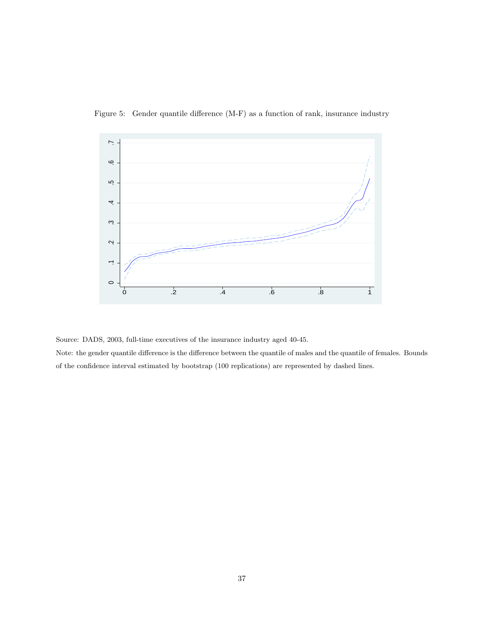



Source: DADS, 2003, full-time executives of the insurance industry aged 40-45.

Note: the gender quantile difference is the difference between the quantile of males and the quantile of females. Bounds of the confidence interval estimated by bootstrap (100 replications) are represented by dashed lines.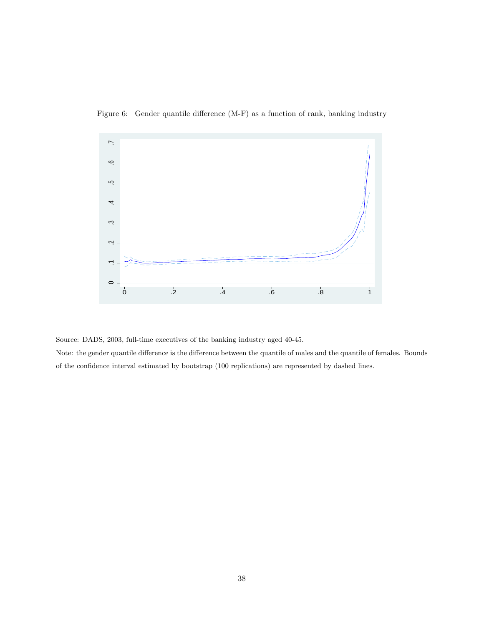

Figure 6: Gender quantile difference (M-F) as a function of rank, banking industry

Source: DADS, 2003, full-time executives of the banking industry aged 40-45.

Note: the gender quantile difference is the difference between the quantile of males and the quantile of females. Bounds of the confidence interval estimated by bootstrap (100 replications) are represented by dashed lines.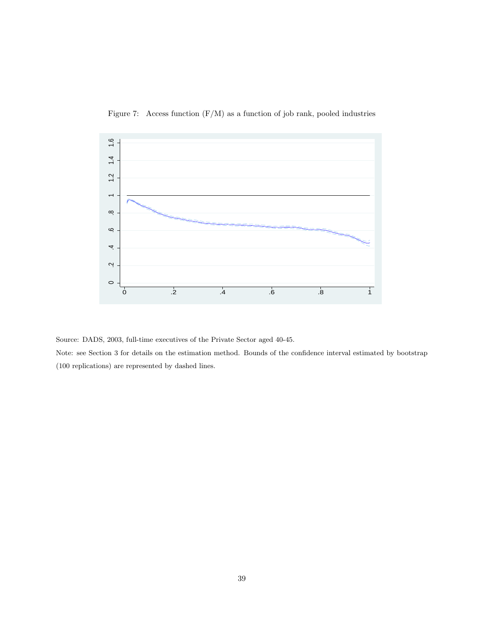

Figure 7: Access function  $(F/M)$  as a function of job rank, pooled industries

Source: DADS, 2003, full-time executives of the Private Sector aged 40-45.

Note: see Section 3 for details on the estimation method. Bounds of the confidence interval estimated by bootstrap (100 replications) are represented by dashed lines.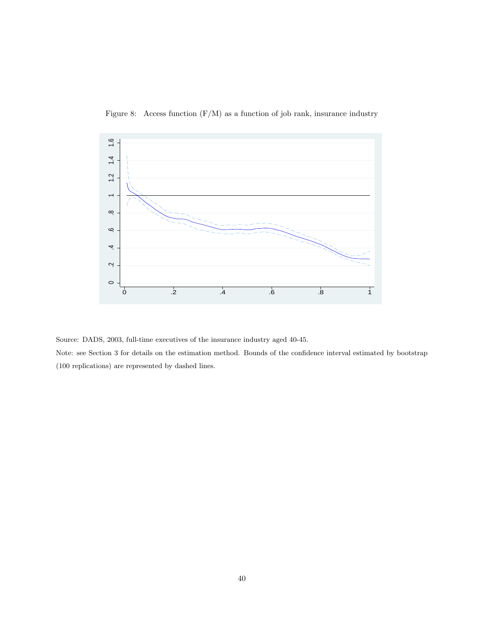

Figure 8: Access function  $(F/M)$  as a function of job rank, insurance industry

Source: DADS, 2003, full-time executives of the insurance industry aged 40-45.

Note: see Section 3 for details on the estimation method. Bounds of the confidence interval estimated by bootstrap (100 replications) are represented by dashed lines.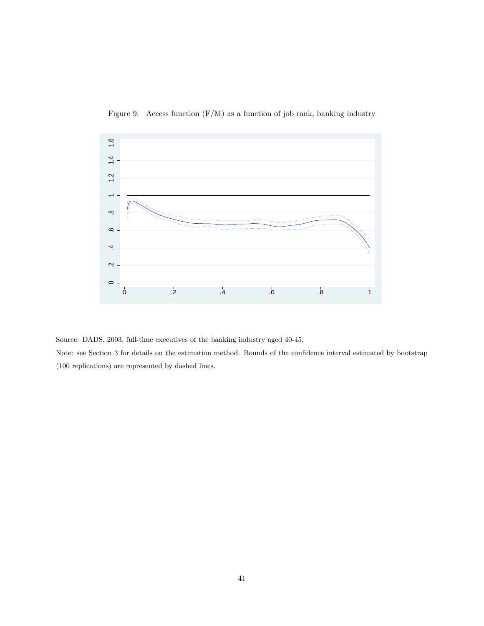

Figure 9: Access function  $(F/M)$  as a function of job rank, banking industry

Source: DADS, 2003, full-time executives of the banking industry aged 40-45.

Note: see Section 3 for details on the estimation method. Bounds of the confidence interval estimated by bootstrap (100 replications) are represented by dashed lines.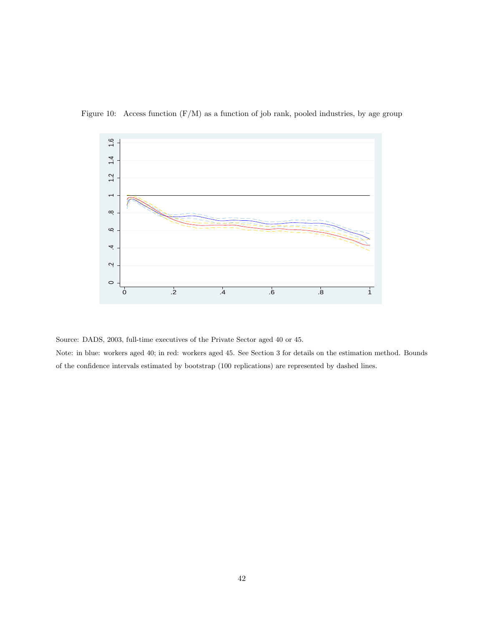

Figure 10: Access function  $(F/M)$  as a function of job rank, pooled industries, by age group

Source: DADS, 2003, full-time executives of the Private Sector aged 40 or 45.

Note: in blue: workers aged 40; in red: workers aged 45. See Section 3 for details on the estimation method. Bounds of the confidence intervals estimated by bootstrap (100 replications) are represented by dashed lines.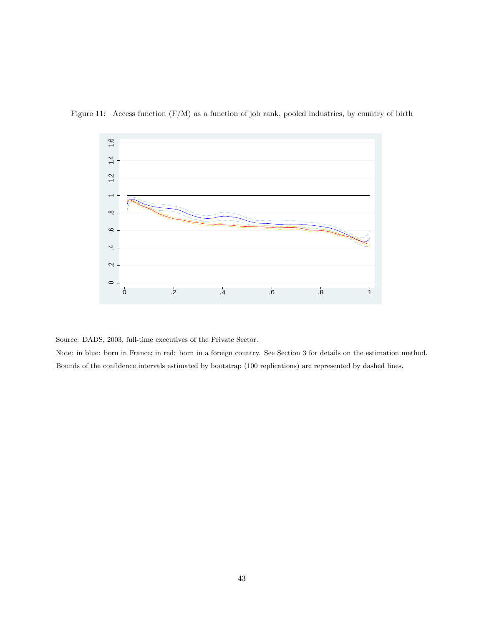

Figure 11: Access function  $(F/M)$  as a function of job rank, pooled industries, by country of birth

Source: DADS, 2003, full-time executives of the Private Sector.

Note: in blue: born in France; in red: born in a foreign country. See Section 3 for details on the estimation method. Bounds of the confidence intervals estimated by bootstrap (100 replications) are represented by dashed lines.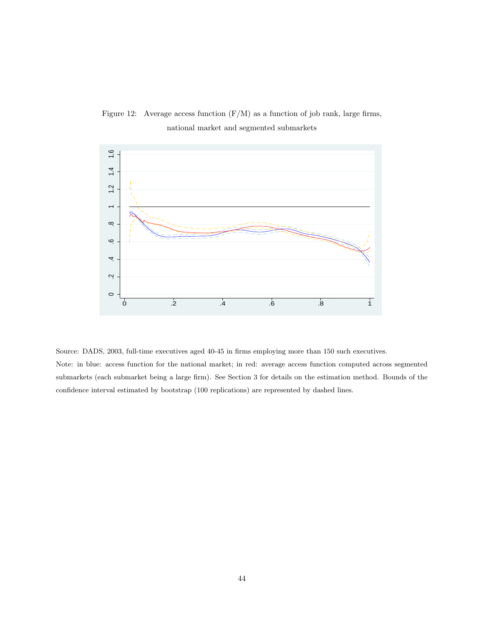

Figure 12: Average access function  $(F/M)$  as a function of job rank, large firms, national market and segmented submarkets

Source: DADS, 2003, full-time executives aged 40-45 in firms employing more than 150 such executives. Note: in blue: access function for the national market; in red: average access function computed across segmented submarkets (each submarket being a large firm). See Section 3 for details on the estimation method. Bounds of the confidence interval estimated by bootstrap (100 replications) are represented by dashed lines.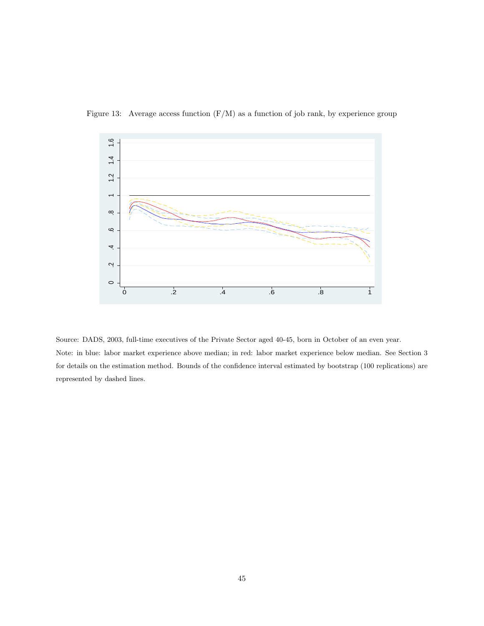

Figure 13: Average access function (F/M) as a function of job rank, by experience group

Source: DADS, 2003, full-time executives of the Private Sector aged 40-45, born in October of an even year. Note: in blue: labor market experience above median; in red: labor market experience below median. See Section 3 for details on the estimation method. Bounds of the confidence interval estimated by bootstrap (100 replications) are represented by dashed lines.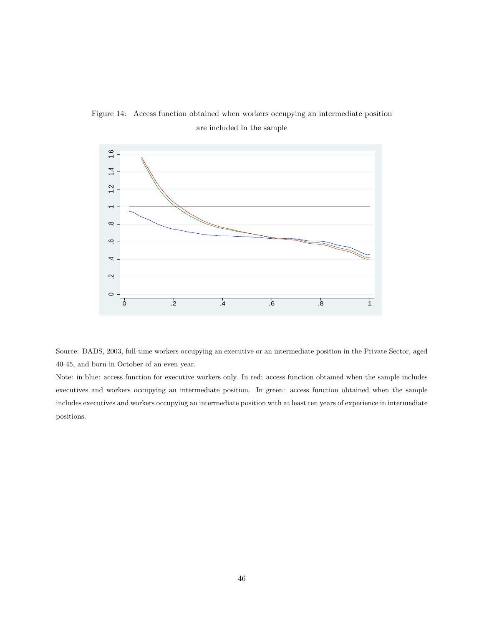



Source: DADS, 2003, full-time workers occupying an executive or an intermediate position in the Private Sector, aged 40-45, and born in October of an even year.

Note: in blue: access function for executive workers only. In red: access function obtained when the sample includes executives and workers occupying an intermediate position. In green: access function obtained when the sample includes executives and workers occupying an intermediate position with at least ten years of experience in intermediate positions.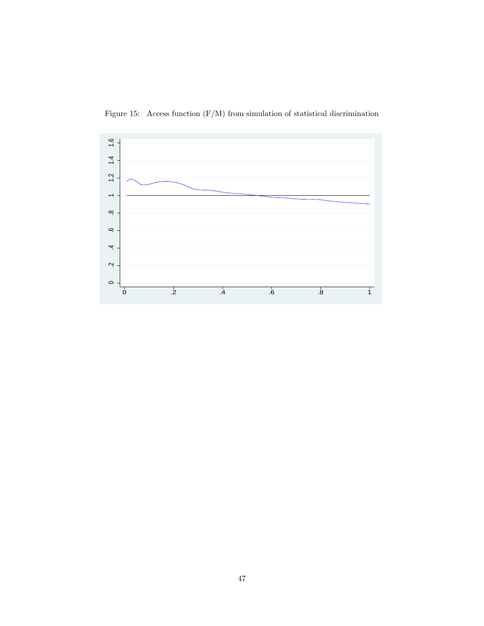

Figure 15: Access function (F/M) from simulation of statistical discrimination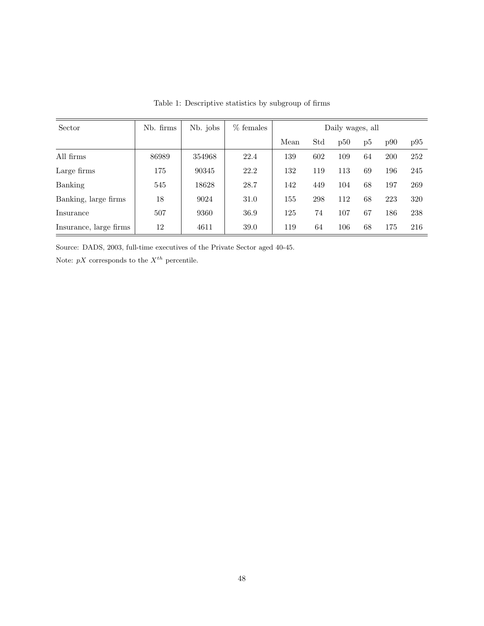| Sector                 | Nb. firms | Nb. jobs | $%$ females |      |     | Daily wages, all |    |     |     |
|------------------------|-----------|----------|-------------|------|-----|------------------|----|-----|-----|
|                        |           |          |             | Mean | Std | p50              | p5 | p90 | p95 |
| All firms              | 86989     | 354968   | 22.4        | 139  | 602 | 109              | 64 | 200 | 252 |
| Large firms            | 175       | 90345    | 22.2        | 132  | 119 | 113              | 69 | 196 | 245 |
| Banking                | 545       | 18628    | 28.7        | 142  | 449 | 104              | 68 | 197 | 269 |
| Banking, large firms   | 18        | 9024     | 31.0        | 155  | 298 | 112              | 68 | 223 | 320 |
| <i>Insurance</i>       | 507       | 9360     | 36.9        | 125  | 74  | 107              | 67 | 186 | 238 |
| Insurance, large firms | 12        | 4611     | 39.0        | 119  | 64  | 106              | 68 | 175 | 216 |

Table 1: Descriptive statistics by subgroup of firms

Source: DADS, 2003, full-time executives of the Private Sector aged 40-45.

Note:  $pX$  corresponds to the  $X^{th}$  percentile.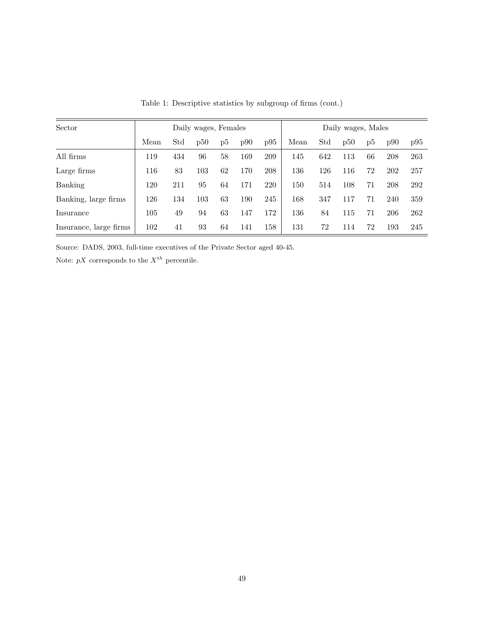| Sector                 |      |     | Daily wages, Females |    |     |     |      |     | Daily wages, Males |             |     |     |
|------------------------|------|-----|----------------------|----|-----|-----|------|-----|--------------------|-------------|-----|-----|
|                        | Mean | Std | p50                  | p5 | p90 | p95 | Mean | Std | p50                | $_{\rm D5}$ | p90 | p95 |
| All firms              | 119  | 434 | 96                   | 58 | 169 | 209 | 145  | 642 | 113                | 66          | 208 | 263 |
| Large firms            | 116  | 83  | 103                  | 62 | 170 | 208 | 136  | 126 | 116                | 72          | 202 | 257 |
| Banking                | 120  | 211 | 95                   | 64 | 171 | 220 | 150  | 514 | 108                | 71          | 208 | 292 |
| Banking, large firms   | 126  | 134 | 103                  | 63 | 190 | 245 | 168  | 347 | 117                | 71          | 240 | 359 |
| Insurance              | 105  | 49  | 94                   | 63 | 147 | 172 | 136  | 84  | 115                | 71          | 206 | 262 |
| Insurance, large firms | 102  | 41  | 93                   | 64 | 141 | 158 | 131  | 72  | 114                | 72          | 193 | 245 |

Table 1: Descriptive statistics by subgroup of firms (cont.)

Source: DADS, 2003, full-time executives of the Private Sector aged 40-45.

Note:  $pX$  corresponds to the  $X^{th}$  percentile.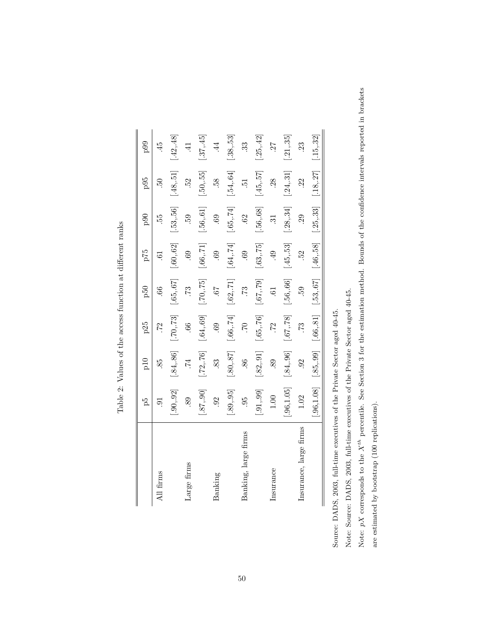|                        | ΡŚ                        | $_{\rm pl}$        | p25                     | p50                                                 | 62d                       | $_{\rm{p90}}$                  | p95                            | 0.90                      |
|------------------------|---------------------------|--------------------|-------------------------|-----------------------------------------------------|---------------------------|--------------------------------|--------------------------------|---------------------------|
| firms                  |                           | 85.                |                         | .66                                                 | $\ddot{\circ}$            | 55.                            |                                |                           |
|                        | $\left[ .90, .92 \right]$ | $.84, .86$ ]       | $\left[ 70, 73 \right]$ | $-.65, .67]$                                        | $\left[ .60, .62 \right]$ | $[-53, 56]$                    | $[.48,.51]$                    | $[-42, 48]$               |
| Large firms            | 89.                       | 74.                | .66                     | .73                                                 | 69.                       | <b>69</b>                      | 52.                            | $\ddot{=}$                |
|                        | $-.87, .90]$              | $[-72, 76]$        | $-.64, .69]$            | $\left[ .70, .75\right]$                            | $\left[ .66, 71 \right]$  | $[\mathbf{.56}, \mathbf{.61}]$ | $[\mathbf{.50}, \mathbf{.55}]$ | $-.45]$                   |
| Banking                | 92                        | 83                 | 69                      | 79.                                                 | .69                       | 69.                            | 58                             | 4                         |
|                        | $\left[ .89, .95 \right]$ | $[.80, .87]$       | $-.66, .74]$            | $\left[ .62, 71 \right]$                            | $[-64, 74]$               | [.65, 74]                      | $[.54, 64]$                    | $\left[ .38, .53 \right]$ |
| Banking, large firms   | 95                        | 86.                | 01                      | 52                                                  | $69$ .                    | <b>S3</b>                      | $\ddot{5}$                     | 33                        |
|                        | [.91, .99]                | $[.82, .91]$       | $-.65, .76]$            | [.67, .79]                                          | $\left[ .63, 75 \right]$  | $[\mathbf{.56}, \mathbf{.68}]$ | $\left[ 45, .57\right]$        | $[-25, 42]$               |
| Insurance              | $1.00$                    | 89.                | $\ddot{z}$              | .61                                                 | .49                       | $\ddot{31}$                    | <b>38</b> .                    | 27                        |
|                        | .96, 1.05                 | $[.84, .96]$       | [.67, .78]              | $[-56, 66]$                                         | $\left[45,.53\right]$     | $\left[ .38, .34 \right]$      | $\left[ .24, .31 \right]$      | $\left[ .21, .35\right]$  |
| Insurance, large firms | 1.02                      | 92                 | 52                      | .59                                                 | 52.                       | $\ddot{5}$                     | 22                             | 23                        |
|                        |                           | .96,1.08 [.85,.99] |                         | $[.66, .81]$ $[.53, .67]$ $[.46, .58]$ $[.25, .33]$ |                           |                                | [.18, .27]                     | $\left[ .15, .32\right]$  |

Table 2: Values of the access function at different ranks Table 2: Values of the access function at different ranks

Source: DADS, 2003, full-time executives of the Private Sector aged 40-45. Source: DADS, 2003, full-time executives of the Private Sector aged 40-45.

 $\overline{\phantom{a}}$ 

Note: Source: DADS, 2003, full-time executives of the Private Sector aged 40-45. Note: Source: DADS, 2003, full-time executives of the Private Sector aged 40-45.

Note:  $pX$  corresponds to the  $X^{th}$  percentile. See Section 3 for the estimation method. Bounds of the confidence intervals reported in brackets Note:  $pX$  corresponds to the  $X^{th}$  percentile. See Section 3 for the estimation method. Bounds of the confidence intervals reported in brackets are estimated by bootstrap (100 replications). are estimated by bootstrap (100 replications).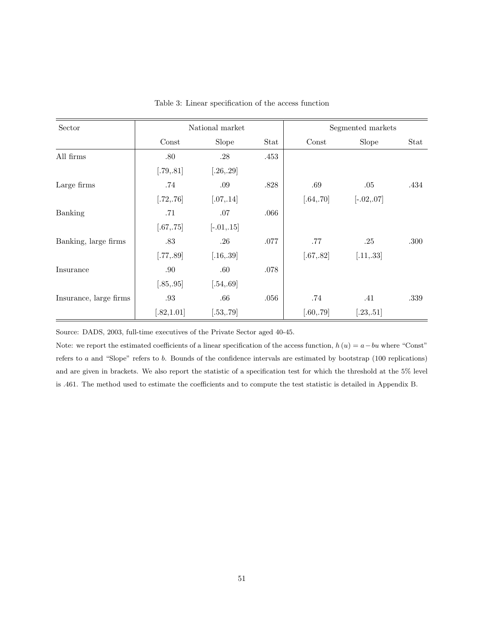| Sector                 |             | National market |      |            | Segmented markets |      |
|------------------------|-------------|-----------------|------|------------|-------------------|------|
|                        | Const       | Slope           | Stat | Const      | Slope             | Stat |
| All firms              | .80         | .28             | .453 |            |                   |      |
|                        | [.79, .81]  | [.26, .29]      |      |            |                   |      |
| Large firms            | .74         | .09             | .828 | .69        | .05               | .434 |
|                        | [.72, .76]  | [.07, .14]      |      | [.64, .70] | $[-.02, .07]$     |      |
| <b>Banking</b>         | .71         | .07             | .066 |            |                   |      |
|                        | [.67, .75]  | $[-.01, .15]$   |      |            |                   |      |
| Banking, large firms   | $.83\,$     | $.26\,$         | .077 | $.77$      | .25               | .300 |
|                        | [.77, .89]  | [.16, .39]      |      | [.67, .82] | [.11, .33]        |      |
| Insurance              | .90         | .60             | .078 |            |                   |      |
|                        | [.85, .95]  | [.54, .69]      |      |            |                   |      |
| Insurance, large firms | .93         | .66             | .056 | .74        | .41               | .339 |
|                        | [.82, 1.01] | [.53, .79]      |      | [.60, .79] | [.23, .51]        |      |

Table 3: Linear specification of the access function

Source: DADS, 2003, full-time executives of the Private Sector aged 40-45.

Note: we report the estimated coefficients of a linear specification of the access function,  $h(u) = a - bu$  where "Const" refers to a and "Slope" refers to b. Bounds of the confidence intervals are estimated by bootstrap (100 replications) and are given in brackets. We also report the statistic of a specification test for which the threshold at the 5% level is .461. The method used to estimate the coefficients and to compute the test statistic is detailed in Appendix B.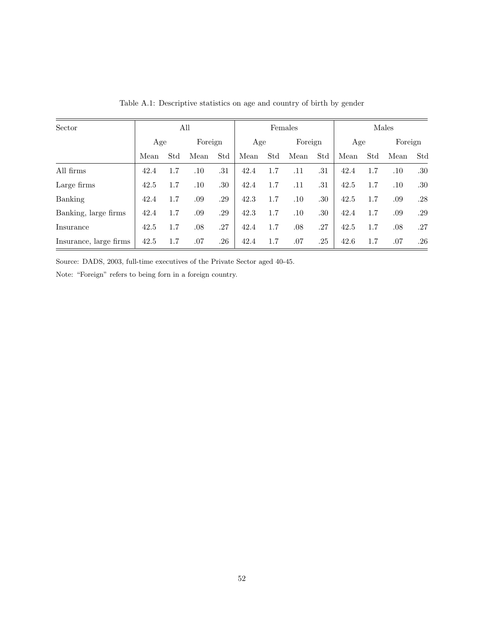| Sector                 |      |     | All     |         | Females |     |         |     | Males |     |         |     |
|------------------------|------|-----|---------|---------|---------|-----|---------|-----|-------|-----|---------|-----|
|                        | Age  |     | Foreign |         | Age     |     | Foreign |     | Age   |     | Foreign |     |
|                        | Mean | Std | Mean    | Std     | Mean    | Std | Mean    | Std | Mean  | Std | Mean    | Std |
| All firms              | 42.4 | 1.7 | .10     | .31     | 42.4    | 1.7 | .11     | .31 | 42.4  | 1.7 | .10     | .30 |
| Large firms            | 42.5 | 1.7 | $.10\,$ | .30     | 42.4    | 1.7 | .11     | .31 | 42.5  | 1.7 | .10     | .30 |
| Banking                | 42.4 | 1.7 | .09     | .29     | 42.3    | 1.7 | $.10\,$ | .30 | 42.5  | 1.7 | .09     | .28 |
| Banking, large firms   | 42.4 | 1.7 | .09     | .29     | 42.3    | 1.7 | $.10\,$ | .30 | 42.4  | 1.7 | .09     | .29 |
| Insurance              | 42.5 | 1.7 | .08     | .27     | 42.4    | 1.7 | .08     | .27 | 42.5  | 1.7 | .08     | .27 |
| Insurance, large firms | 42.5 | 1.7 | .07     | $.26\,$ | 42.4    | 1.7 | .07     | .25 | 42.6  | 1.7 | .07     | .26 |

Table A.1: Descriptive statistics on age and country of birth by gender

Source: DADS, 2003, full-time executives of the Private Sector aged 40-45.

Note: "Foreign" refers to being forn in a foreign country.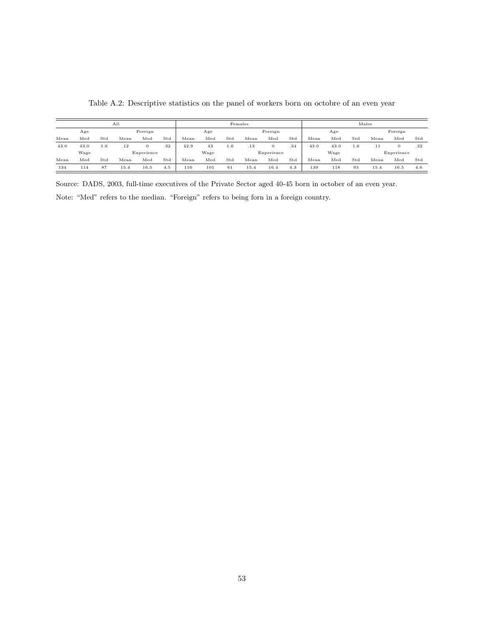|      |      |     | A11  |            |     |               |      |     | Females |            |     |      |      |     | Males |            |     |
|------|------|-----|------|------------|-----|---------------|------|-----|---------|------------|-----|------|------|-----|-------|------------|-----|
|      | Age  |     |      | Foreign    |     |               | Age  |     |         | Foreign    |     |      | Age  |     |       | Foreign    |     |
| Mean | Med  | Std | Mean | $^{Med}$   | Std | $_{\rm Mean}$ | Med  | Std | Mean    | Med        | Std | Mean | Med  | Std | Mean  | Med        | Std |
| 43.0 | 43.0 | 1.6 | .12  | 0          | .32 | 42.9          | 43   | 1.6 | .13     | $\theta$   | .34 | 43.0 | 43.0 | 1.6 | .11   |            | .32 |
|      | Wage |     |      | Experience |     |               | Wage |     |         | Experience |     |      | Wage |     |       | Experience |     |
| Mean | Med  | Std | Mean | Med        | Std | Mean          | Med  | Std | Mean    | Med        | Std | Mean | Med  | Std | Mean  | Med        | Std |
| 134  | 114  | 87  | 15.4 | 16.5       | 4.5 | 116           | 101  | 61  | 15.4    | 16.4       | 4.3 | 139  | 118  | 93  | 15.4  | 16.5       | 4.6 |

Table A.2: Descriptive statistics on the panel of workers born on octobre of an even year

Source: DADS, 2003, full-time executives of the Private Sector aged 40-45 born in october of an even year. Note: "Med" refers to the median. "Foreign" refers to being forn in a foreign country.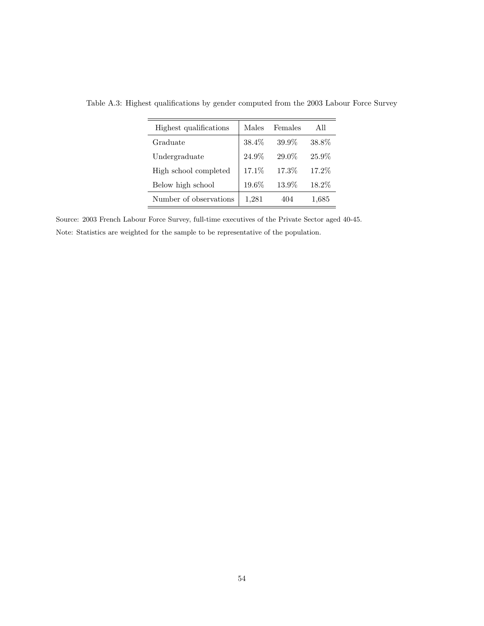| Highest qualifications | Males  | Females | All       |
|------------------------|--------|---------|-----------|
| Graduate               | 38.4\% | 39.9%   | 38.8%     |
| Undergraduate          | 24.9%  | 29.0%   | 25.9%     |
| High school completed  | 17.1%  | 17.3%   | 17.2%     |
| Below high school      | 19.6%  | 13.9%   | 18.2%     |
| Number of observations | 1,281  | 404     | $1.685\,$ |

Table A.3: Highest qualifications by gender computed from the 2003 Labour Force Survey

Source: 2003 French Labour Force Survey, full-time executives of the Private Sector aged 40-45. Note: Statistics are weighted for the sample to be representative of the population.